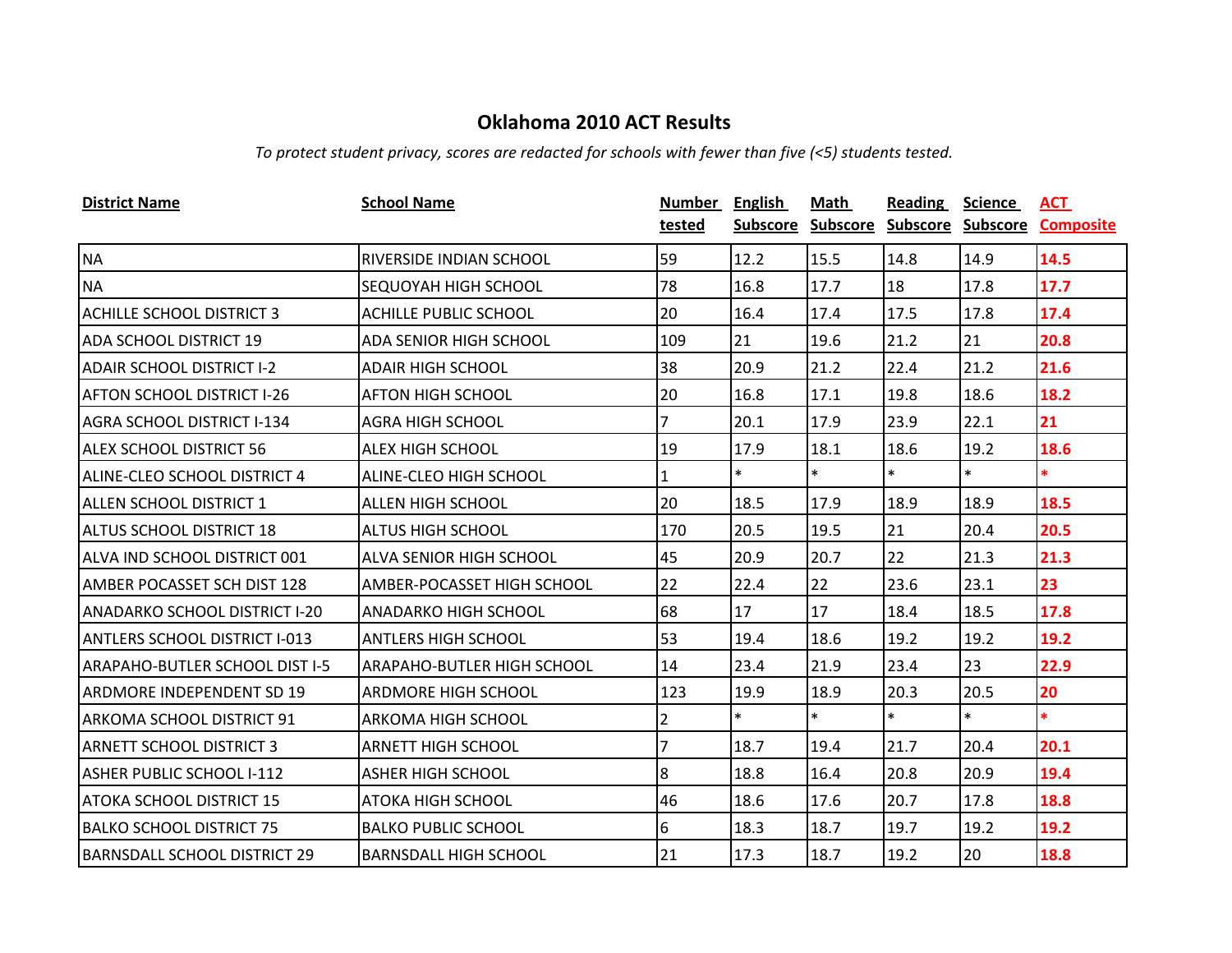*To protect student privacy, scores are redacted for schools with fewer than five (<5) students tested.*

| <b>District Name</b>                 | <b>School Name</b>             | Number         | <b>English</b>  | Math            | <b>Reading</b>    | <b>Science</b> | ACT              |
|--------------------------------------|--------------------------------|----------------|-----------------|-----------------|-------------------|----------------|------------------|
|                                      |                                | tested         | <b>Subscore</b> | <b>Subscore</b> | Subscore Subscore |                | <b>Composite</b> |
| <b>NA</b>                            | <b>RIVERSIDE INDIAN SCHOOL</b> | 59             | 12.2            | 15.5            | 14.8              | 14.9           | 14.5             |
| <b>NA</b>                            | <b>SEQUOYAH HIGH SCHOOL</b>    | 78             | 16.8            | 17.7            | 18                | 17.8           | 17.7             |
| <b>ACHILLE SCHOOL DISTRICT 3</b>     | <b>ACHILLE PUBLIC SCHOOL</b>   | 20             | 16.4            | 17.4            | 17.5              | 17.8           | 17.4             |
| <b>ADA SCHOOL DISTRICT 19</b>        | ADA SENIOR HIGH SCHOOL         | 109            | 21              | 19.6            | 21.2              | 21             | 20.8             |
| <b>ADAIR SCHOOL DISTRICT I-2</b>     | <b>ADAIR HIGH SCHOOL</b>       | 38             | 20.9            | 21.2            | 22.4              | 21.2           | 21.6             |
| <b>AFTON SCHOOL DISTRICT I-26</b>    | <b>AFTON HIGH SCHOOL</b>       | 20             | 16.8            | 17.1            | 19.8              | 18.6           | 18.2             |
| <b>AGRA SCHOOL DISTRICT I-134</b>    | <b>AGRA HIGH SCHOOL</b>        | 7              | 20.1            | 17.9            | 23.9              | 22.1           | 21               |
| ALEX SCHOOL DISTRICT 56              | <b>ALEX HIGH SCHOOL</b>        | 19             | 17.9            | 18.1            | 18.6              | 19.2           | 18.6             |
| ALINE-CLEO SCHOOL DISTRICT 4         | ALINE-CLEO HIGH SCHOOL         | 1              | $\ast$          | $\ast$          | $\ast$            | $\ast$         | $\ast$           |
| ALLEN SCHOOL DISTRICT 1              | <b>ALLEN HIGH SCHOOL</b>       | 20             | 18.5            | 17.9            | 18.9              | 18.9           | 18.5             |
| <b>ALTUS SCHOOL DISTRICT 18</b>      | <b>ALTUS HIGH SCHOOL</b>       | 170            | 20.5            | 19.5            | 21                | 20.4           | 20.5             |
| ALVA IND SCHOOL DISTRICT 001         | <b>ALVA SENIOR HIGH SCHOOL</b> | 45             | 20.9            | 20.7            | 22                | 21.3           | 21.3             |
| <b>AMBER POCASSET SCH DIST 128</b>   | AMBER-POCASSET HIGH SCHOOL     | 22             | 22.4            | 22              | 23.6              | 23.1           | 23               |
| <b>ANADARKO SCHOOL DISTRICT I-20</b> | <b>ANADARKO HIGH SCHOOL</b>    | 68             | 17              | 17              | 18.4              | 18.5           | 17.8             |
| <b>ANTLERS SCHOOL DISTRICT I-013</b> | <b>ANTLERS HIGH SCHOOL</b>     | 53             | 19.4            | 18.6            | 19.2              | 19.2           | 19.2             |
| ARAPAHO-BUTLER SCHOOL DIST I-5       | ARAPAHO-BUTLER HIGH SCHOOL     | 14             | 23.4            | 21.9            | 23.4              | 23             | 22.9             |
| <b>ARDMORE INDEPENDENT SD 19</b>     | <b>ARDMORE HIGH SCHOOL</b>     | 123            | 19.9            | 18.9            | 20.3              | 20.5           | 20               |
| ARKOMA SCHOOL DISTRICT 91            | <b>ARKOMA HIGH SCHOOL</b>      | $\overline{2}$ | $\ast$          | $\ast$          | $\ast$            | $\ast$         | $\ast$           |
| <b>ARNETT SCHOOL DISTRICT 3</b>      | <b>ARNETT HIGH SCHOOL</b>      | 7              | 18.7            | 19.4            | 21.7              | 20.4           | 20.1             |
| <b>ASHER PUBLIC SCHOOL I-112</b>     | <b>ASHER HIGH SCHOOL</b>       | 8              | 18.8            | 16.4            | 20.8              | 20.9           | 19.4             |
| <b>ATOKA SCHOOL DISTRICT 15</b>      | <b>ATOKA HIGH SCHOOL</b>       | 46             | 18.6            | 17.6            | 20.7              | 17.8           | 18.8             |
| <b>BALKO SCHOOL DISTRICT 75</b>      | <b>BALKO PUBLIC SCHOOL</b>     | 6              | 18.3            | 18.7            | 19.7              | 19.2           | 19.2             |
| <b>BARNSDALL SCHOOL DISTRICT 29</b>  | <b>BARNSDALL HIGH SCHOOL</b>   | 21             | 17.3            | 18.7            | 19.2              | 20             | 18.8             |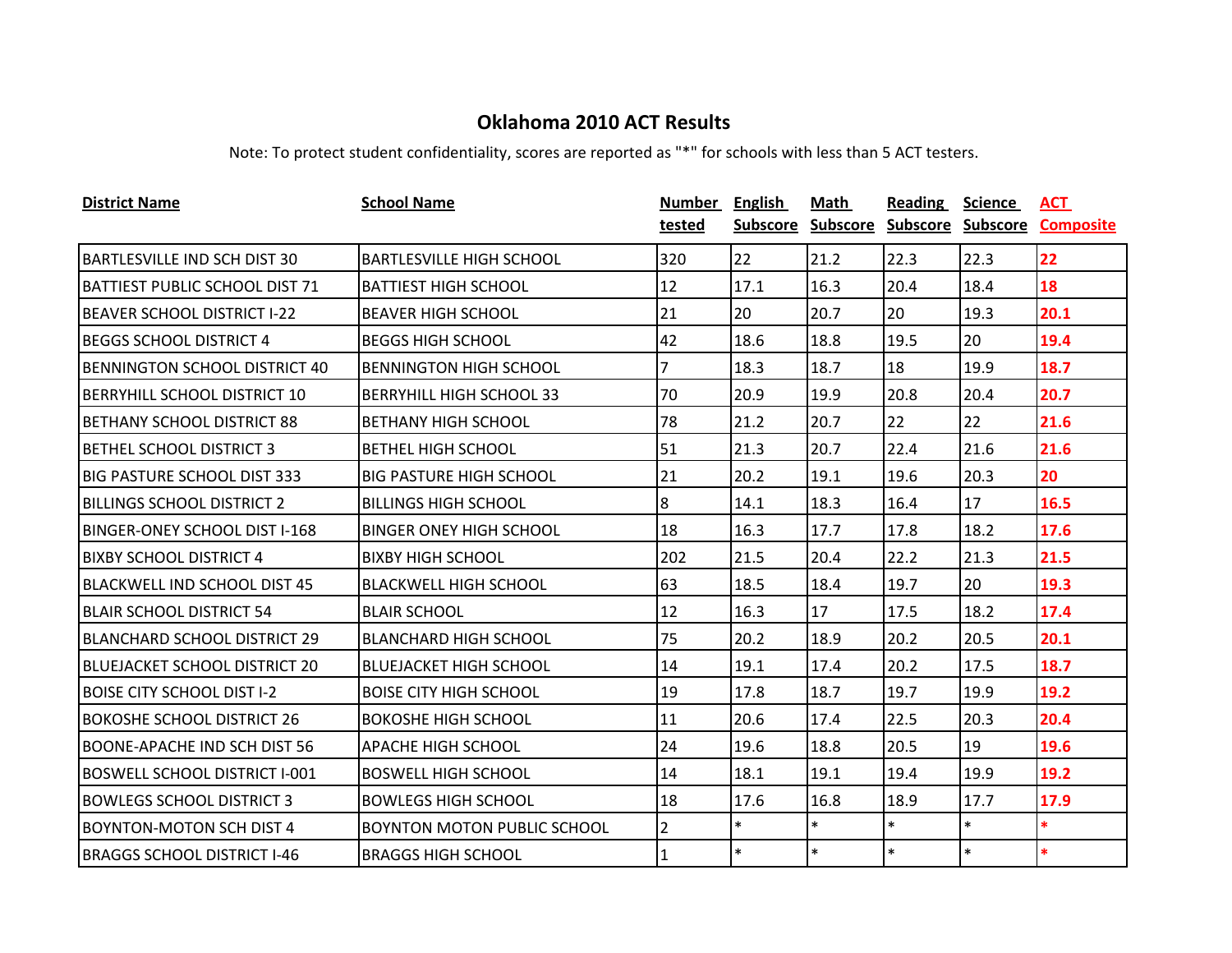| <b>District Name</b>                  | <b>School Name</b>                 | Number         | <b>English</b> | Math            | Reading           | <b>Science</b> | ACT              |
|---------------------------------------|------------------------------------|----------------|----------------|-----------------|-------------------|----------------|------------------|
|                                       |                                    | tested         | Subscore       | <b>Subscore</b> | Subscore Subscore |                | <b>Composite</b> |
| <b>BARTLESVILLE IND SCH DIST 30</b>   | <b>BARTLESVILLE HIGH SCHOOL</b>    | 320            | 22             | 21.2            | 22.3              | 22.3           | 22               |
| <b>BATTIEST PUBLIC SCHOOL DIST 71</b> | <b>BATTIEST HIGH SCHOOL</b>        | 12             | 17.1           | 16.3            | 20.4              | 18.4           | 18               |
| <b>BEAVER SCHOOL DISTRICT I-22</b>    | <b>BEAVER HIGH SCHOOL</b>          | 21             | 20             | 20.7            | 20                | 19.3           | 20.1             |
| <b>BEGGS SCHOOL DISTRICT 4</b>        | <b>BEGGS HIGH SCHOOL</b>           | 42             | 18.6           | 18.8            | 19.5              | 20             | 19.4             |
| BENNINGTON SCHOOL DISTRICT 40         | <b>BENNINGTON HIGH SCHOOL</b>      | 7              | 18.3           | 18.7            | 18                | 19.9           | 18.7             |
| <b>BERRYHILL SCHOOL DISTRICT 10</b>   | BERRYHILL HIGH SCHOOL 33           | 70             | 20.9           | 19.9            | 20.8              | 20.4           | 20.7             |
| <b>BETHANY SCHOOL DISTRICT 88</b>     | <b>BETHANY HIGH SCHOOL</b>         | 78             | 21.2           | 20.7            | 22                | 22             | 21.6             |
| <b>BETHEL SCHOOL DISTRICT 3</b>       | BETHEL HIGH SCHOOL                 | 51             | 21.3           | 20.7            | 22.4              | 21.6           | 21.6             |
| <b>BIG PASTURE SCHOOL DIST 333</b>    | <b>BIG PASTURE HIGH SCHOOL</b>     | 21             | 20.2           | 19.1            | 19.6              | 20.3           | 20               |
| <b>BILLINGS SCHOOL DISTRICT 2</b>     | <b>BILLINGS HIGH SCHOOL</b>        | 8              | 14.1           | 18.3            | 16.4              | 17             | 16.5             |
| <b>BINGER-ONEY SCHOOL DIST I-168</b>  | BINGER ONEY HIGH SCHOOL            | 18             | 16.3           | 17.7            | 17.8              | 18.2           | 17.6             |
| <b>BIXBY SCHOOL DISTRICT 4</b>        | <b>BIXBY HIGH SCHOOL</b>           | 202            | 21.5           | 20.4            | 22.2              | 21.3           | 21.5             |
| <b>BLACKWELL IND SCHOOL DIST 45</b>   | BLACKWELL HIGH SCHOOL              | 63             | 18.5           | 18.4            | 19.7              | 20             | 19.3             |
| <b>BLAIR SCHOOL DISTRICT 54</b>       | <b>BLAIR SCHOOL</b>                | 12             | 16.3           | 17              | 17.5              | 18.2           | 17.4             |
| <b>BLANCHARD SCHOOL DISTRICT 29</b>   | <b>BLANCHARD HIGH SCHOOL</b>       | 75             | 20.2           | 18.9            | 20.2              | 20.5           | 20.1             |
| <b>BLUEJACKET SCHOOL DISTRICT 20</b>  | BLUEJACKET HIGH SCHOOL             | 14             | 19.1           | 17.4            | 20.2              | 17.5           | 18.7             |
| <b>BOISE CITY SCHOOL DIST I-2</b>     | <b>BOISE CITY HIGH SCHOOL</b>      | 19             | 17.8           | 18.7            | 19.7              | 19.9           | 19.2             |
| <b>BOKOSHE SCHOOL DISTRICT 26</b>     | <b>BOKOSHE HIGH SCHOOL</b>         | 11             | 20.6           | 17.4            | 22.5              | 20.3           | 20.4             |
| <b>BOONE-APACHE IND SCH DIST 56</b>   | <b>APACHE HIGH SCHOOL</b>          | 24             | 19.6           | 18.8            | 20.5              | 19             | 19.6             |
| <b>BOSWELL SCHOOL DISTRICT I-001</b>  | <b>BOSWELL HIGH SCHOOL</b>         | 14             | 18.1           | 19.1            | 19.4              | 19.9           | 19.2             |
| <b>BOWLEGS SCHOOL DISTRICT 3</b>      | <b>BOWLEGS HIGH SCHOOL</b>         | 18             | 17.6           | 16.8            | 18.9              | 17.7           | 17.9             |
| <b>BOYNTON-MOTON SCH DIST 4</b>       | <b>BOYNTON MOTON PUBLIC SCHOOL</b> | $\overline{2}$ | $\ast$         | $\ast$          | $\ast$            | $\ast$         | $\ast$           |
| <b>BRAGGS SCHOOL DISTRICT I-46</b>    | <b>BRAGGS HIGH SCHOOL</b>          | $\mathbf{1}$   | $\ast$         | $\ast$          | $\ast$            | $\ast$         | $\ast$           |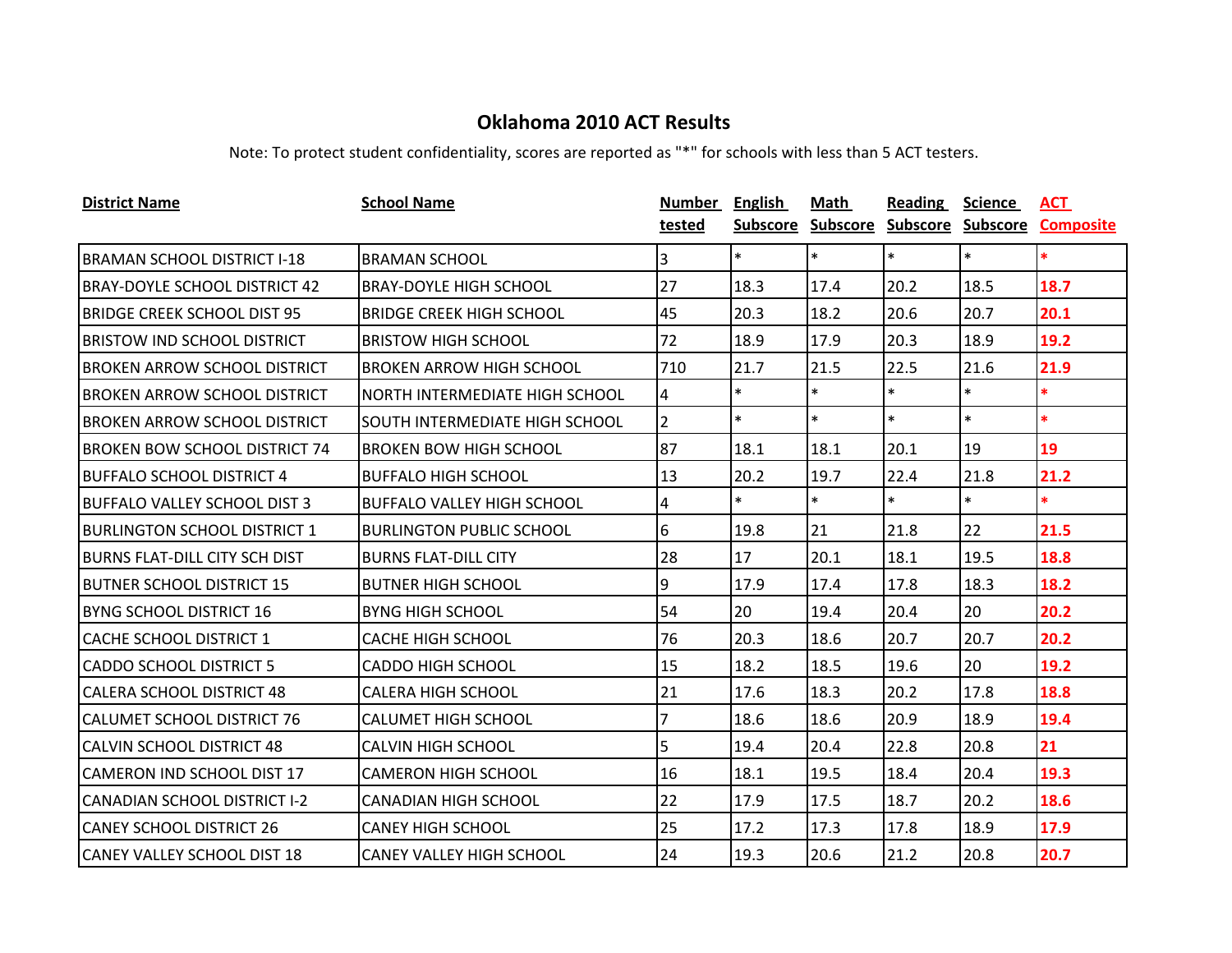| <b>District Name</b>                 | <b>School Name</b>                    | Number         | <b>English</b>  | Math            | Reading           | <b>Science</b> | <u>ACT</u>       |
|--------------------------------------|---------------------------------------|----------------|-----------------|-----------------|-------------------|----------------|------------------|
|                                      |                                       | tested         | <b>Subscore</b> | <b>Subscore</b> | Subscore Subscore |                | <b>Composite</b> |
| <b>BRAMAN SCHOOL DISTRICT I-18</b>   | <b>BRAMAN SCHOOL</b>                  | 3              | $\ast$          | $\ast$          | $\ast$            | $\ast$         | *.               |
| <b>BRAY-DOYLE SCHOOL DISTRICT 42</b> | <b>BRAY-DOYLE HIGH SCHOOL</b>         | 27             | 18.3            | 17.4            | 20.2              | 18.5           | 18.7             |
| <b>BRIDGE CREEK SCHOOL DIST 95</b>   | <b>BRIDGE CREEK HIGH SCHOOL</b>       | 45             | 20.3            | 18.2            | 20.6              | 20.7           | 20.1             |
| <b>BRISTOW IND SCHOOL DISTRICT</b>   | <b>BRISTOW HIGH SCHOOL</b>            | 72             | 18.9            | 17.9            | 20.3              | 18.9           | 19.2             |
| <b>BROKEN ARROW SCHOOL DISTRICT</b>  | <b>BROKEN ARROW HIGH SCHOOL</b>       | 710            | 21.7            | 21.5            | 22.5              | 21.6           | 21.9             |
| <b>BROKEN ARROW SCHOOL DISTRICT</b>  | NORTH INTERMEDIATE HIGH SCHOOL        | 4              | $\ast$          | $\ast$          | $\ast$            | $\ast$         | *.               |
| <b>BROKEN ARROW SCHOOL DISTRICT</b>  | <b>SOUTH INTERMEDIATE HIGH SCHOOL</b> | $\overline{2}$ | $\ast$          | $\ast$          | $\ast$            | $\ast$         | $\ast$           |
| <b>BROKEN BOW SCHOOL DISTRICT 74</b> | <b>BROKEN BOW HIGH SCHOOL</b>         | 87             | 18.1            | 18.1            | 20.1              | 19             | 19               |
| <b>BUFFALO SCHOOL DISTRICT 4</b>     | <b>BUFFALO HIGH SCHOOL</b>            | 13             | 20.2            | 19.7            | 22.4              | 21.8           | 21.2             |
| <b>BUFFALO VALLEY SCHOOL DIST 3</b>  | <b>BUFFALO VALLEY HIGH SCHOOL</b>     | 4              | $\ast$          | $\ast$          | $\ast$            | $\ast$         | $\ast$           |
| <b>BURLINGTON SCHOOL DISTRICT 1</b>  | <b>BURLINGTON PUBLIC SCHOOL</b>       | 6              | 19.8            | 21              | 21.8              | 22             | 21.5             |
| <b>BURNS FLAT-DILL CITY SCH DIST</b> | <b>BURNS FLAT-DILL CITY</b>           | 28             | 17              | 20.1            | 18.1              | 19.5           | 18.8             |
| <b>BUTNER SCHOOL DISTRICT 15</b>     | <b>BUTNER HIGH SCHOOL</b>             | 9              | 17.9            | 17.4            | 17.8              | 18.3           | 18.2             |
| <b>BYNG SCHOOL DISTRICT 16</b>       | <b>BYNG HIGH SCHOOL</b>               | 54             | 20              | 19.4            | 20.4              | 20             | 20.2             |
| <b>CACHE SCHOOL DISTRICT 1</b>       | <b>CACHE HIGH SCHOOL</b>              | 76             | 20.3            | 18.6            | 20.7              | 20.7           | 20.2             |
| <b>CADDO SCHOOL DISTRICT 5</b>       | <b>CADDO HIGH SCHOOL</b>              | 15             | 18.2            | 18.5            | 19.6              | 20             | 19.2             |
| <b>CALERA SCHOOL DISTRICT 48</b>     | <b>CALERA HIGH SCHOOL</b>             | 21             | 17.6            | 18.3            | 20.2              | 17.8           | 18.8             |
| <b>CALUMET SCHOOL DISTRICT 76</b>    | <b>CALUMET HIGH SCHOOL</b>            | 7              | 18.6            | 18.6            | 20.9              | 18.9           | 19.4             |
| <b>CALVIN SCHOOL DISTRICT 48</b>     | <b>CALVIN HIGH SCHOOL</b>             | 5              | 19.4            | 20.4            | 22.8              | 20.8           | 21               |
| <b>CAMERON IND SCHOOL DIST 17</b>    | <b>CAMERON HIGH SCHOOL</b>            | 16             | 18.1            | 19.5            | 18.4              | 20.4           | 19.3             |
| <b>CANADIAN SCHOOL DISTRICT I-2</b>  | <b>CANADIAN HIGH SCHOOL</b>           | 22             | 17.9            | 17.5            | 18.7              | 20.2           | 18.6             |
| <b>CANEY SCHOOL DISTRICT 26</b>      | <b>CANEY HIGH SCHOOL</b>              | 25             | 17.2            | 17.3            | 17.8              | 18.9           | 17.9             |
| <b>CANEY VALLEY SCHOOL DIST 18</b>   | <b>CANEY VALLEY HIGH SCHOOL</b>       | 24             | 19.3            | 20.6            | 21.2              | 20.8           | 20.7             |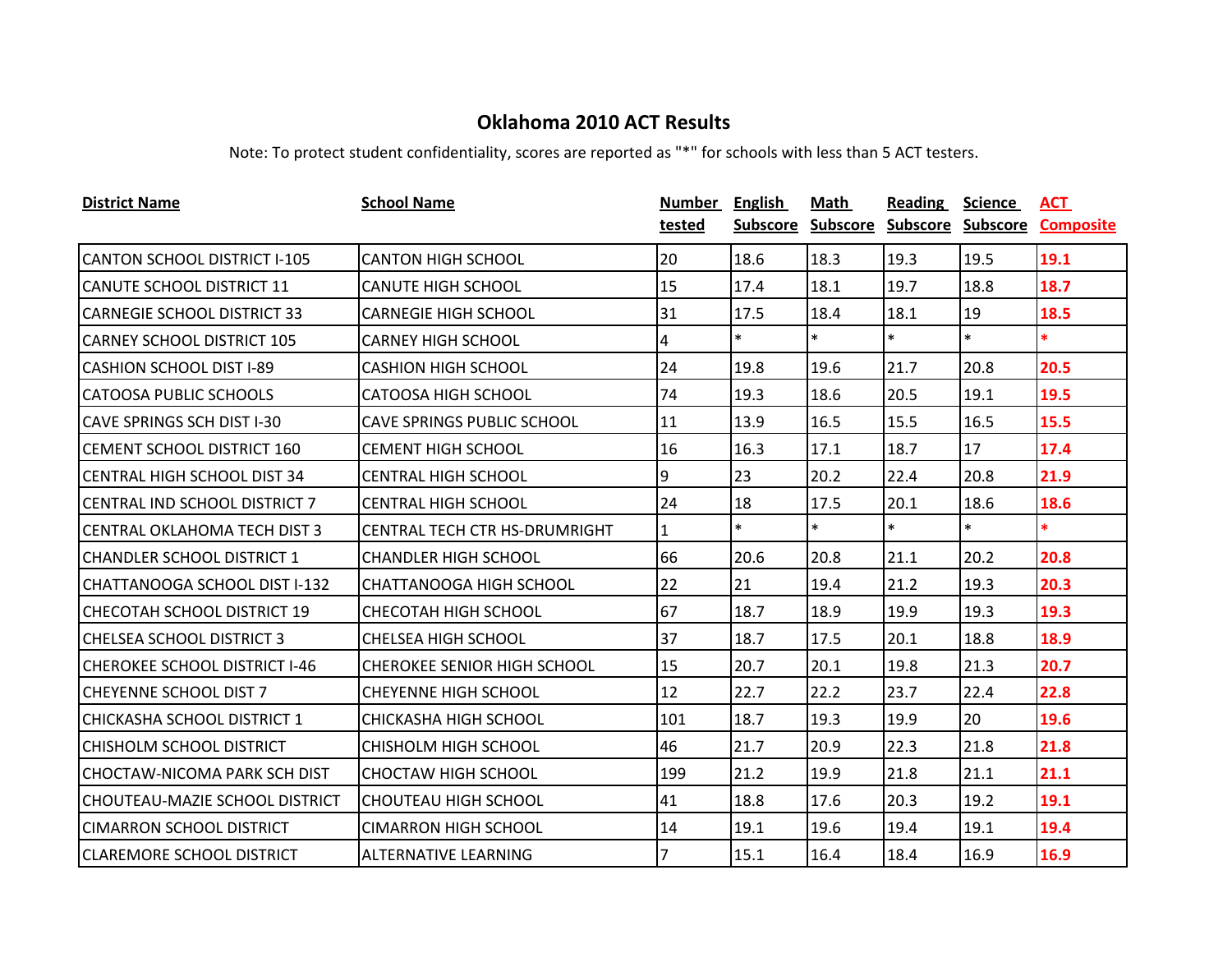| <b>District Name</b>                 | <b>School Name</b>                 | Number | <b>English</b>  | Math            | <b>Reading</b>    | <b>Science</b> | <u>ACT</u>       |
|--------------------------------------|------------------------------------|--------|-----------------|-----------------|-------------------|----------------|------------------|
|                                      |                                    | tested | <b>Subscore</b> | <b>Subscore</b> | Subscore Subscore |                | <b>Composite</b> |
| CANTON SCHOOL DISTRICT I-105         | <b>CANTON HIGH SCHOOL</b>          | 20     | 18.6            | 18.3            | 19.3              | 19.5           | 19.1             |
| <b>CANUTE SCHOOL DISTRICT 11</b>     | <b>CANUTE HIGH SCHOOL</b>          | 15     | 17.4            | 18.1            | 19.7              | 18.8           | 18.7             |
| <b>CARNEGIE SCHOOL DISTRICT 33</b>   | <b>CARNEGIE HIGH SCHOOL</b>        | 31     | 17.5            | 18.4            | 18.1              | 19             | 18.5             |
| <b>CARNEY SCHOOL DISTRICT 105</b>    | <b>CARNEY HIGH SCHOOL</b>          | 4      | $\ast$          | $\ast$          | $\ast$            | $\ast$         | $\ast$           |
| <b>CASHION SCHOOL DIST I-89</b>      | <b>CASHION HIGH SCHOOL</b>         | 24     | 19.8            | 19.6            | 21.7              | 20.8           | 20.5             |
| <b>CATOOSA PUBLIC SCHOOLS</b>        | CATOOSA HIGH SCHOOL                | 74     | 19.3            | 18.6            | 20.5              | 19.1           | 19.5             |
| <b>CAVE SPRINGS SCH DIST I-30</b>    | <b>CAVE SPRINGS PUBLIC SCHOOL</b>  | 11     | 13.9            | 16.5            | 15.5              | 16.5           | 15.5             |
| <b>CEMENT SCHOOL DISTRICT 160</b>    | <b>CEMENT HIGH SCHOOL</b>          | 16     | 16.3            | 17.1            | 18.7              | 17             | 17.4             |
| CENTRAL HIGH SCHOOL DIST 34          | <b>CENTRAL HIGH SCHOOL</b>         | 9      | 23              | 20.2            | 22.4              | 20.8           | 21.9             |
| <b>CENTRAL IND SCHOOL DISTRICT 7</b> | <b>CENTRAL HIGH SCHOOL</b>         | 24     | 18              | 17.5            | 20.1              | 18.6           | 18.6             |
| <b>CENTRAL OKLAHOMA TECH DIST 3</b>  | CENTRAL TECH CTR HS-DRUMRIGHT      | 1      | $\ast$          | $\ast$          | $\ast$            | $\ast$         | $\ast$           |
| <b>CHANDLER SCHOOL DISTRICT 1</b>    | <b>CHANDLER HIGH SCHOOL</b>        | 66     | 20.6            | 20.8            | 21.1              | 20.2           | 20.8             |
| CHATTANOOGA SCHOOL DIST I-132        | CHATTANOOGA HIGH SCHOOL            | 22     | 21              | 19.4            | 21.2              | 19.3           | 20.3             |
| <b>CHECOTAH SCHOOL DISTRICT 19</b>   | CHECOTAH HIGH SCHOOL               | 67     | 18.7            | 18.9            | 19.9              | 19.3           | 19.3             |
| <b>CHELSEA SCHOOL DISTRICT 3</b>     | <b>CHELSEA HIGH SCHOOL</b>         | 37     | 18.7            | 17.5            | 20.1              | 18.8           | 18.9             |
| <b>CHEROKEE SCHOOL DISTRICT I-46</b> | <b>CHEROKEE SENIOR HIGH SCHOOL</b> | 15     | 20.7            | 20.1            | 19.8              | 21.3           | 20.7             |
| <b>CHEYENNE SCHOOL DIST 7</b>        | <b>CHEYENNE HIGH SCHOOL</b>        | 12     | 22.7            | 22.2            | 23.7              | 22.4           | 22.8             |
| ICHICKASHA SCHOOL DISTRICT 1         | CHICKASHA HIGH SCHOOL              | 101    | 18.7            | 19.3            | 19.9              | 20             | 19.6             |
| <b>CHISHOLM SCHOOL DISTRICT</b>      | CHISHOLM HIGH SCHOOL               | 46     | 21.7            | 20.9            | 22.3              | 21.8           | 21.8             |
| <b>CHOCTAW-NICOMA PARK SCH DIST</b>  | <b>CHOCTAW HIGH SCHOOL</b>         | 199    | 21.2            | 19.9            | 21.8              | 21.1           | 21.1             |
| CHOUTEAU-MAZIE SCHOOL DISTRICT       | <b>CHOUTEAU HIGH SCHOOL</b>        | 41     | 18.8            | 17.6            | 20.3              | 19.2           | 19.1             |
| <b>CIMARRON SCHOOL DISTRICT</b>      | <b>CIMARRON HIGH SCHOOL</b>        | 14     | 19.1            | 19.6            | 19.4              | 19.1           | 19.4             |
| <b>CLAREMORE SCHOOL DISTRICT</b>     | ALTERNATIVE LEARNING               | 7      | 15.1            | 16.4            | 18.4              | 16.9           | 16.9             |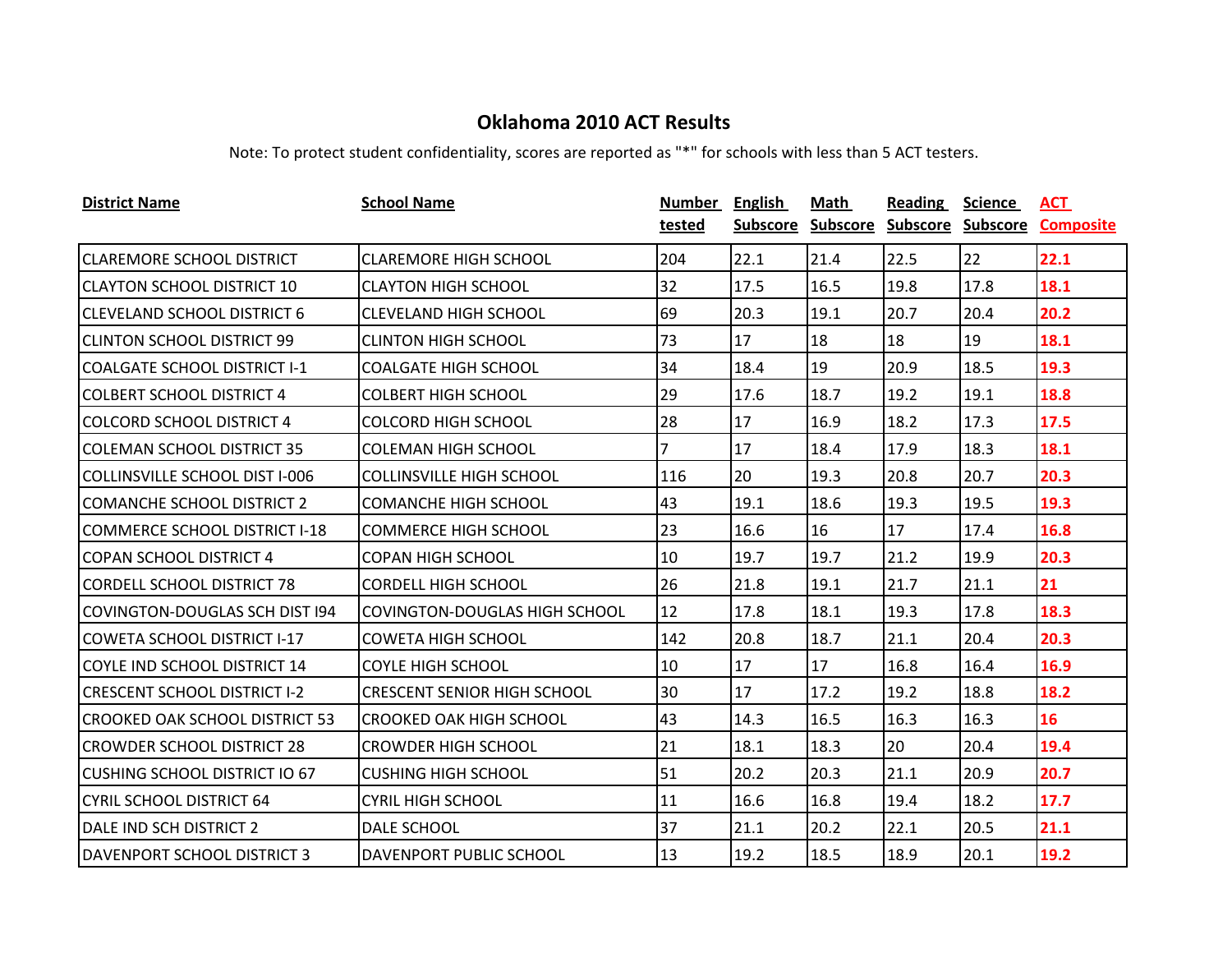| <b>District Name</b>                  | <b>School Name</b>                   | Number | <b>English</b>  | Math            | <b>Reading</b>    | <b>Science</b> | ACT              |
|---------------------------------------|--------------------------------------|--------|-----------------|-----------------|-------------------|----------------|------------------|
|                                       |                                      | tested | <b>Subscore</b> | <b>Subscore</b> | Subscore Subscore |                | <b>Composite</b> |
| <b>CLAREMORE SCHOOL DISTRICT</b>      | <b>CLAREMORE HIGH SCHOOL</b>         | 204    | 22.1            | 21.4            | 22.5              | 22             | 22.1             |
| <b>CLAYTON SCHOOL DISTRICT 10</b>     | <b>CLAYTON HIGH SCHOOL</b>           | 32     | 17.5            | 16.5            | 19.8              | 17.8           | 18.1             |
| <b>CLEVELAND SCHOOL DISTRICT 6</b>    | <b>CLEVELAND HIGH SCHOOL</b>         | 69     | 20.3            | 19.1            | 20.7              | 20.4           | 20.2             |
| <b>CLINTON SCHOOL DISTRICT 99</b>     | <b>CLINTON HIGH SCHOOL</b>           | 73     | 17              | 18              | 18                | 19             | 18.1             |
| <b>COALGATE SCHOOL DISTRICT I-1</b>   | <b>COALGATE HIGH SCHOOL</b>          | 34     | 18.4            | 19              | 20.9              | 18.5           | 19.3             |
| <b>COLBERT SCHOOL DISTRICT 4</b>      | <b>COLBERT HIGH SCHOOL</b>           | 29     | 17.6            | 18.7            | 19.2              | 19.1           | 18.8             |
| <b>COLCORD SCHOOL DISTRICT 4</b>      | <b>COLCORD HIGH SCHOOL</b>           | 28     | 17              | 16.9            | 18.2              | 17.3           | 17.5             |
| <b>COLEMAN SCHOOL DISTRICT 35</b>     | <b>COLEMAN HIGH SCHOOL</b>           | 7      | 17              | 18.4            | 17.9              | 18.3           | 18.1             |
| <b>COLLINSVILLE SCHOOL DIST I-006</b> | <b>COLLINSVILLE HIGH SCHOOL</b>      | 116    | 20              | 19.3            | 20.8              | 20.7           | 20.3             |
| <b>COMANCHE SCHOOL DISTRICT 2</b>     | <b>COMANCHE HIGH SCHOOL</b>          | 43     | 19.1            | 18.6            | 19.3              | 19.5           | 19.3             |
| COMMERCE SCHOOL DISTRICT I-18         | <b>COMMERCE HIGH SCHOOL</b>          | 23     | 16.6            | 16              | 17                | 17.4           | 16.8             |
| <b>COPAN SCHOOL DISTRICT 4</b>        | <b>COPAN HIGH SCHOOL</b>             | 10     | 19.7            | 19.7            | 21.2              | 19.9           | 20.3             |
| <b>CORDELL SCHOOL DISTRICT 78</b>     | <b>CORDELL HIGH SCHOOL</b>           | 26     | 21.8            | 19.1            | 21.7              | 21.1           | 21               |
| COVINGTON-DOUGLAS SCH DIST 194        | <b>COVINGTON-DOUGLAS HIGH SCHOOL</b> | 12     | 17.8            | 18.1            | 19.3              | 17.8           | 18.3             |
| <b>COWETA SCHOOL DISTRICT I-17</b>    | <b>COWETA HIGH SCHOOL</b>            | 142    | 20.8            | 18.7            | 21.1              | 20.4           | 20.3             |
| COYLE IND SCHOOL DISTRICT 14          | <b>COYLE HIGH SCHOOL</b>             | 10     | 17              | 17              | 16.8              | 16.4           | 16.9             |
| <b>CRESCENT SCHOOL DISTRICT I-2</b>   | <b>CRESCENT SENIOR HIGH SCHOOL</b>   | 30     | 17              | 17.2            | 19.2              | 18.8           | 18.2             |
| ICROOKED OAK SCHOOL DISTRICT 53       | CROOKED OAK HIGH SCHOOL              | 43     | 14.3            | 16.5            | 16.3              | 16.3           | 16               |
| <b>CROWDER SCHOOL DISTRICT 28</b>     | <b>CROWDER HIGH SCHOOL</b>           | 21     | 18.1            | 18.3            | 20                | 20.4           | 19.4             |
| CUSHING SCHOOL DISTRICT IO 67         | <b>CUSHING HIGH SCHOOL</b>           | 51     | 20.2            | 20.3            | 21.1              | 20.9           | 20.7             |
| <b>CYRIL SCHOOL DISTRICT 64</b>       | <b>CYRIL HIGH SCHOOL</b>             | 11     | 16.6            | 16.8            | 19.4              | 18.2           | 17.7             |
| DALE IND SCH DISTRICT 2               | DALE SCHOOL                          | 37     | 21.1            | 20.2            | 22.1              | 20.5           | 21.1             |
| <b>DAVENPORT SCHOOL DISTRICT 3</b>    | DAVENPORT PUBLIC SCHOOL              | 13     | 19.2            | 18.5            | 18.9              | 20.1           | 19.2             |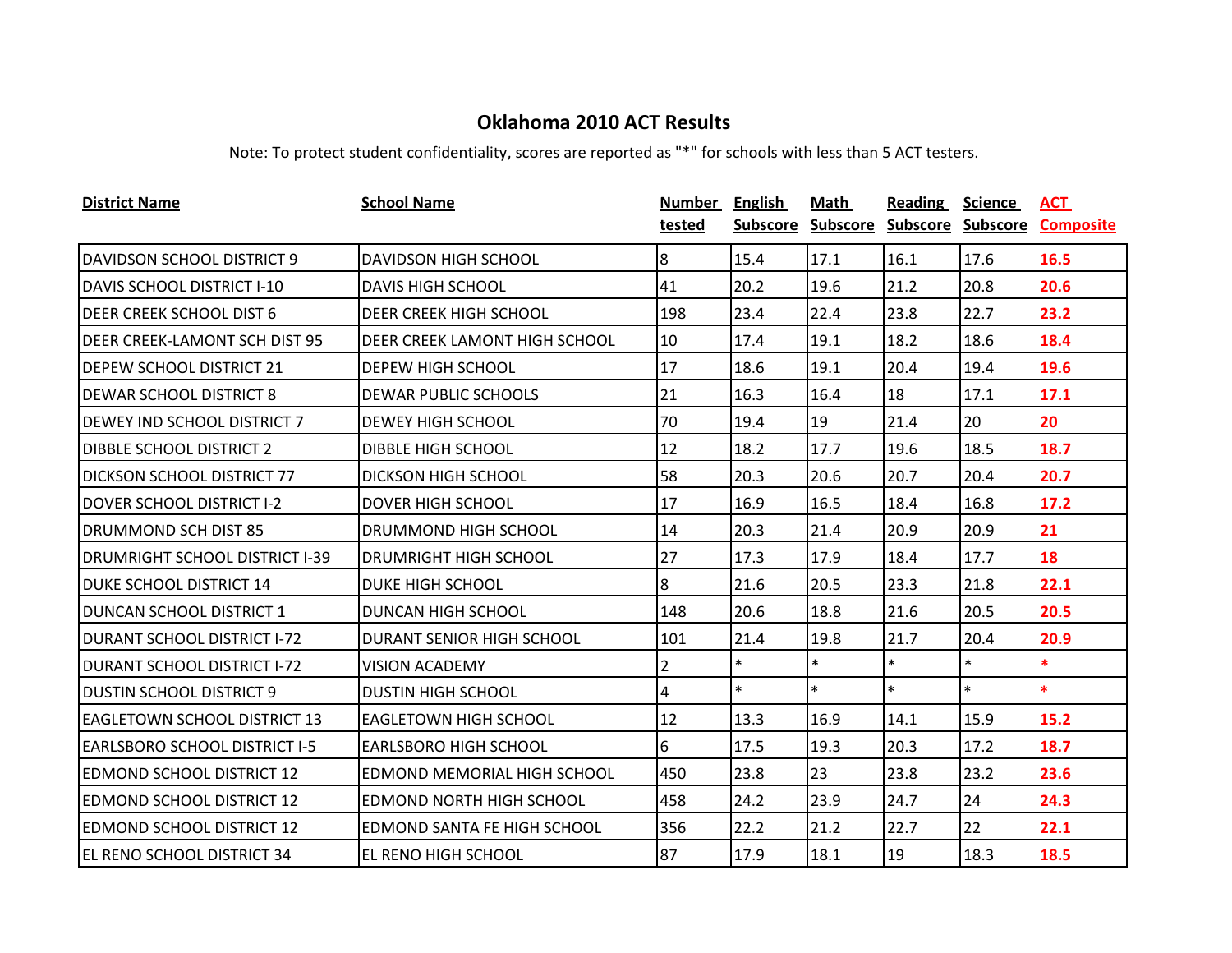| <b>District Name</b>                  | <b>School Name</b>                   | Number         | <b>English</b>  | Math            | <b>Reading</b>    | <b>Science</b> | <b>ACT</b>       |
|---------------------------------------|--------------------------------------|----------------|-----------------|-----------------|-------------------|----------------|------------------|
|                                       |                                      | tested         | <b>Subscore</b> | <b>Subscore</b> | Subscore Subscore |                | <b>Composite</b> |
| <b>DAVIDSON SCHOOL DISTRICT 9</b>     | <b>DAVIDSON HIGH SCHOOL</b>          | 8              | 15.4            | 17.1            | 16.1              | 17.6           | 16.5             |
| DAVIS SCHOOL DISTRICT I-10            | <b>DAVIS HIGH SCHOOL</b>             | 41             | 20.2            | 19.6            | 21.2              | 20.8           | 20.6             |
| DEER CREEK SCHOOL DIST 6              | DEER CREEK HIGH SCHOOL               | 198            | 23.4            | 22.4            | 23.8              | 22.7           | 23.2             |
| <b>DEER CREEK-LAMONT SCH DIST 95</b>  | <b>DEER CREEK LAMONT HIGH SCHOOL</b> | 10             | 17.4            | 19.1            | 18.2              | 18.6           | 18.4             |
| <b>DEPEW SCHOOL DISTRICT 21</b>       | DEPEW HIGH SCHOOL                    | 17             | 18.6            | 19.1            | 20.4              | 19.4           | 19.6             |
| <b>DEWAR SCHOOL DISTRICT 8</b>        | <b>DEWAR PUBLIC SCHOOLS</b>          | 21             | 16.3            | 16.4            | 18                | 17.1           | 17.1             |
| <b>DEWEY IND SCHOOL DISTRICT 7</b>    | <b>DEWEY HIGH SCHOOL</b>             | 70             | 19.4            | 19              | 21.4              | 20             | 20               |
| <b>DIBBLE SCHOOL DISTRICT 2</b>       | <b>DIBBLE HIGH SCHOOL</b>            | 12             | 18.2            | 17.7            | 19.6              | 18.5           | 18.7             |
| <b>DICKSON SCHOOL DISTRICT 77</b>     | <b>DICKSON HIGH SCHOOL</b>           | 58             | 20.3            | 20.6            | 20.7              | 20.4           | 20.7             |
| <b>DOVER SCHOOL DISTRICT I-2</b>      | <b>DOVER HIGH SCHOOL</b>             | 17             | 16.9            | 16.5            | 18.4              | 16.8           | 17.2             |
| <b>DRUMMOND SCH DIST 85</b>           | DRUMMOND HIGH SCHOOL                 | 14             | 20.3            | 21.4            | 20.9              | 20.9           | 21               |
| <b>DRUMRIGHT SCHOOL DISTRICT I-39</b> | DRUMRIGHT HIGH SCHOOL                | 27             | 17.3            | 17.9            | 18.4              | 17.7           | 18               |
| <b>DUKE SCHOOL DISTRICT 14</b>        | <b>DUKE HIGH SCHOOL</b>              | 8              | 21.6            | 20.5            | 23.3              | 21.8           | 22.1             |
| <b>DUNCAN SCHOOL DISTRICT 1</b>       | DUNCAN HIGH SCHOOL                   | 148            | 20.6            | 18.8            | 21.6              | 20.5           | 20.5             |
| <b>DURANT SCHOOL DISTRICT I-72</b>    | DURANT SENIOR HIGH SCHOOL            | 101            | 21.4            | 19.8            | 21.7              | 20.4           | 20.9             |
| <b>DURANT SCHOOL DISTRICT I-72</b>    | <b>VISION ACADEMY</b>                | $\overline{2}$ | $\ast$          | $\ast$          | $\ast$            | $\ast$         | $\ast$           |
| <b>DUSTIN SCHOOL DISTRICT 9</b>       | <b>DUSTIN HIGH SCHOOL</b>            | 4              | $\ast$          | $\ast$          | $\ast$            | $\ast$         | $\ast$           |
| <b>EAGLETOWN SCHOOL DISTRICT 13</b>   | <b>EAGLETOWN HIGH SCHOOL</b>         | 12             | 13.3            | 16.9            | 14.1              | 15.9           | 15.2             |
| EARLSBORO SCHOOL DISTRICT I-5         | <b>EARLSBORO HIGH SCHOOL</b>         | 6              | 17.5            | 19.3            | 20.3              | 17.2           | 18.7             |
| EDMOND SCHOOL DISTRICT 12             | EDMOND MEMORIAL HIGH SCHOOL          | 450            | 23.8            | 23              | 23.8              | 23.2           | 23.6             |
| <b>EDMOND SCHOOL DISTRICT 12</b>      | EDMOND NORTH HIGH SCHOOL             | 458            | 24.2            | 23.9            | 24.7              | 24             | 24.3             |
| EDMOND SCHOOL DISTRICT 12             | EDMOND SANTA FE HIGH SCHOOL          | 356            | 22.2            | 21.2            | 22.7              | 22             | 22.1             |
| EL RENO SCHOOL DISTRICT 34            | EL RENO HIGH SCHOOL                  | 87             | 17.9            | 18.1            | 19                | 18.3           | 18.5             |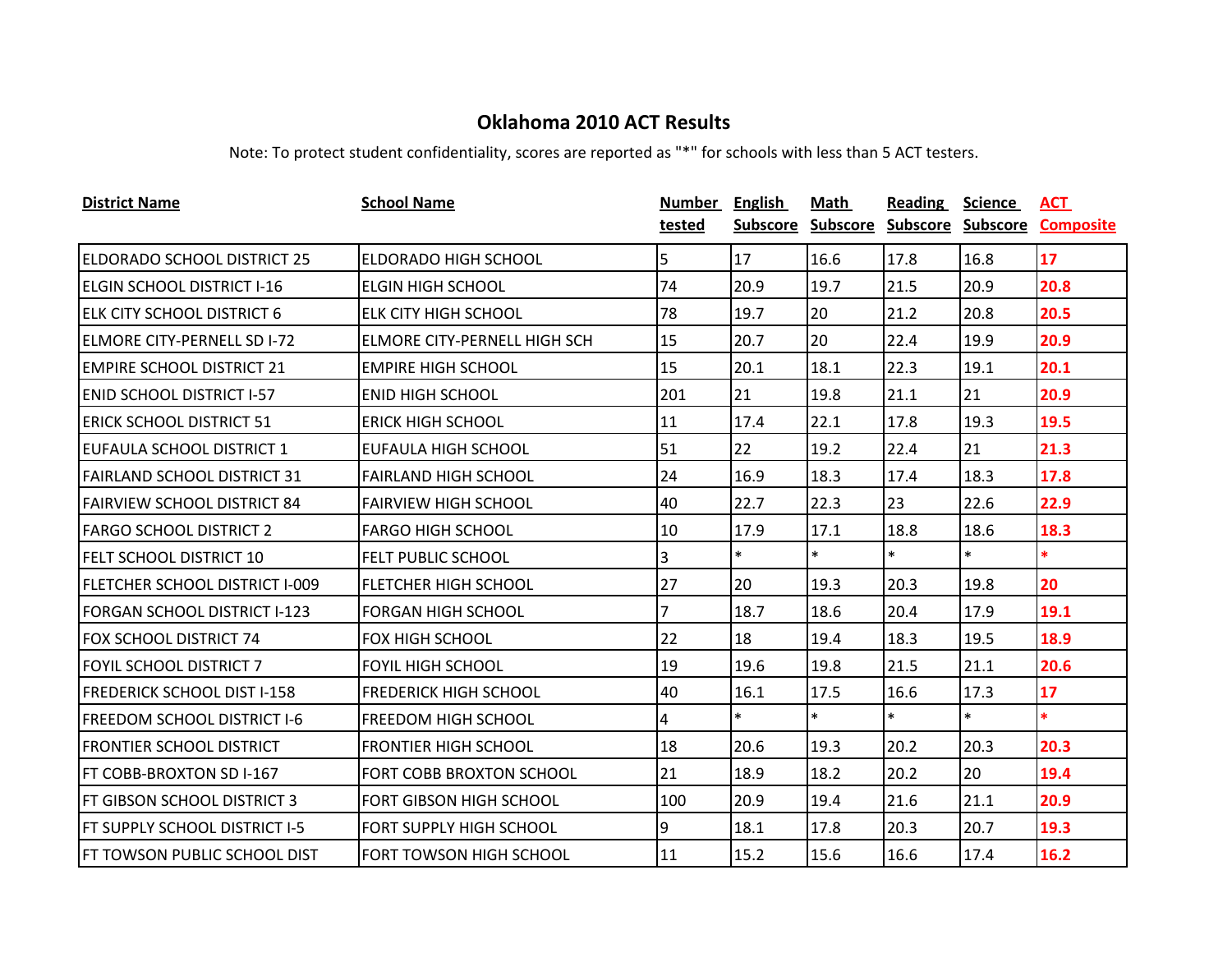| <b>District Name</b>                | <b>School Name</b>                  | <b>Number</b> | English         | Math            | <b>Reading</b>    | <b>Science</b> | <u>ACT</u>       |
|-------------------------------------|-------------------------------------|---------------|-----------------|-----------------|-------------------|----------------|------------------|
|                                     |                                     | tested        | <b>Subscore</b> | <b>Subscore</b> | Subscore Subscore |                | <b>Composite</b> |
| <b>ELDORADO SCHOOL DISTRICT 25</b>  | <b>ELDORADO HIGH SCHOOL</b>         | 5             | 17              | 16.6            | 17.8              | 16.8           | 17               |
| <b>ELGIN SCHOOL DISTRICT I-16</b>   | <b>ELGIN HIGH SCHOOL</b>            | 74            | 20.9            | 19.7            | 21.5              | 20.9           | 20.8             |
| <b>ELK CITY SCHOOL DISTRICT 6</b>   | <b>ELK CITY HIGH SCHOOL</b>         | 78            | 19.7            | 20              | 21.2              | 20.8           | 20.5             |
| <b>ELMORE CITY-PERNELL SD I-72</b>  | <b>ELMORE CITY-PERNELL HIGH SCH</b> | 15            | 20.7            | 20              | 22.4              | 19.9           | 20.9             |
| <b>EMPIRE SCHOOL DISTRICT 21</b>    | <b>EMPIRE HIGH SCHOOL</b>           | 15            | 20.1            | 18.1            | 22.3              | 19.1           | 20.1             |
| <b>ENID SCHOOL DISTRICT I-57</b>    | <b>ENID HIGH SCHOOL</b>             | 201           | 21              | 19.8            | 21.1              | 21             | 20.9             |
| <b>ERICK SCHOOL DISTRICT 51</b>     | <b>ERICK HIGH SCHOOL</b>            | 11            | 17.4            | 22.1            | 17.8              | 19.3           | 19.5             |
| EUFAULA SCHOOL DISTRICT 1           | EUFAULA HIGH SCHOOL                 | 51            | 22              | 19.2            | 22.4              | 21             | 21.3             |
| <b>FAIRLAND SCHOOL DISTRICT 31</b>  | <b>FAIRLAND HIGH SCHOOL</b>         | 24            | 16.9            | 18.3            | 17.4              | 18.3           | 17.8             |
| <b>FAIRVIEW SCHOOL DISTRICT 84</b>  | <b>FAIRVIEW HIGH SCHOOL</b>         | 40            | 22.7            | 22.3            | 23                | 22.6           | 22.9             |
| <b>FARGO SCHOOL DISTRICT 2</b>      | <b>FARGO HIGH SCHOOL</b>            | 10            | 17.9            | 17.1            | 18.8              | 18.6           | 18.3             |
| <b>FELT SCHOOL DISTRICT 10</b>      | <b>FELT PUBLIC SCHOOL</b>           | 3             | $\ast$          | $\ast$          | $\ast$            | $\ast$         | $\ast$           |
| FLETCHER SCHOOL DISTRICT I-009      | <b>FLETCHER HIGH SCHOOL</b>         | 27            | 20              | 19.3            | 20.3              | 19.8           | 20               |
| <b>FORGAN SCHOOL DISTRICT I-123</b> | <b>FORGAN HIGH SCHOOL</b>           | 7             | 18.7            | 18.6            | 20.4              | 17.9           | 19.1             |
| <b>FOX SCHOOL DISTRICT 74</b>       | FOX HIGH SCHOOL                     | 22            | 18              | 19.4            | 18.3              | 19.5           | 18.9             |
| <b>FOYIL SCHOOL DISTRICT 7</b>      | <b>FOYIL HIGH SCHOOL</b>            | 19            | 19.6            | 19.8            | 21.5              | 21.1           | 20.6             |
| <b>FREDERICK SCHOOL DIST I-158</b>  | <b>FREDERICK HIGH SCHOOL</b>        | 40            | 16.1            | 17.5            | 16.6              | 17.3           | 17               |
| FREEDOM SCHOOL DISTRICT I-6         | <b>FREEDOM HIGH SCHOOL</b>          | 4             | $\ast$          | $\ast$          | $\ast$            | $\ast$         | $\ast$           |
| <b>FRONTIER SCHOOL DISTRICT</b>     | <b>FRONTIER HIGH SCHOOL</b>         | 18            | 20.6            | 19.3            | 20.2              | 20.3           | 20.3             |
| FT COBB-BROXTON SD I-167            | <b>FORT COBB BROXTON SCHOOL</b>     | 21            | 18.9            | 18.2            | 20.2              | 20             | 19.4             |
| <b>FT GIBSON SCHOOL DISTRICT 3</b>  | FORT GIBSON HIGH SCHOOL             | 100           | 20.9            | 19.4            | 21.6              | 21.1           | 20.9             |
| FT SUPPLY SCHOOL DISTRICT I-5       | <b>FORT SUPPLY HIGH SCHOOL</b>      | 9             | 18.1            | 17.8            | 20.3              | 20.7           | 19.3             |
| FT TOWSON PUBLIC SCHOOL DIST        | FORT TOWSON HIGH SCHOOL             | 11            | 15.2            | 15.6            | 16.6              | 17.4           | 16.2             |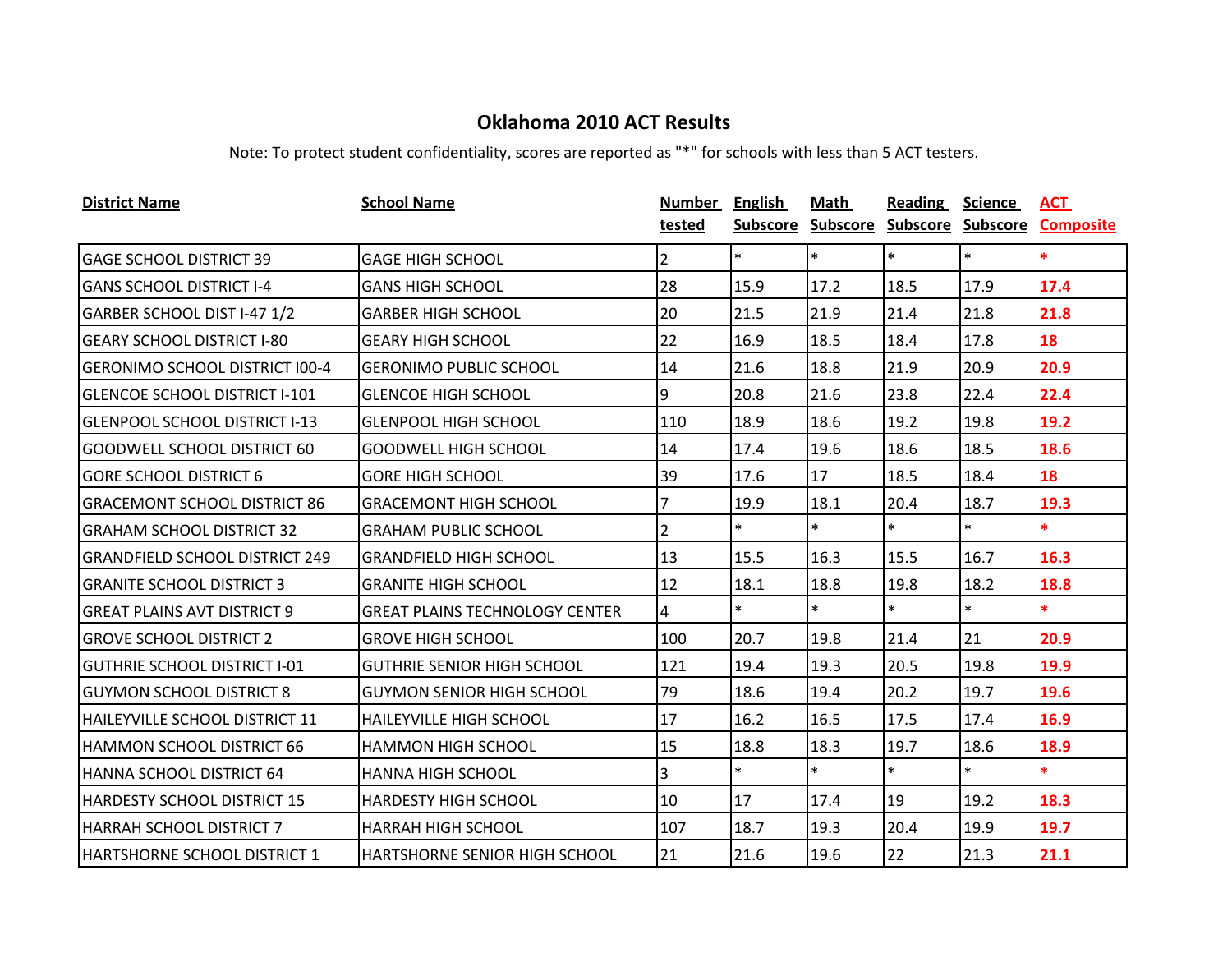| <b>District Name</b>                  | <b>School Name</b>                    | <b>Number</b> | <b>English</b> | <b>Math</b> | <b>Reading</b> | <b>Science</b> | <b>ACT</b>                                    |
|---------------------------------------|---------------------------------------|---------------|----------------|-------------|----------------|----------------|-----------------------------------------------|
|                                       |                                       | tested        |                |             |                |                | Subscore Subscore Subscore Subscore Composite |
| <b>GAGE SCHOOL DISTRICT 39</b>        | <b>GAGE HIGH SCHOOL</b>               | 2             | $\ast$         | $\ast$      | $\ast$         | $\ast$         | $\ast$                                        |
| <b>GANS SCHOOL DISTRICT I-4</b>       | <b>GANS HIGH SCHOOL</b>               | 28            | 15.9           | 17.2        | 18.5           | 17.9           | 17.4                                          |
| GARBER SCHOOL DIST I-47 1/2           | <b>GARBER HIGH SCHOOL</b>             | 20            | 21.5           | 21.9        | 21.4           | 21.8           | 21.8                                          |
| <b>GEARY SCHOOL DISTRICT I-80</b>     | <b>GEARY HIGH SCHOOL</b>              | 22            | 16.9           | 18.5        | 18.4           | 17.8           | 18                                            |
| <b>GERONIMO SCHOOL DISTRICT 100-4</b> | <b>GERONIMO PUBLIC SCHOOL</b>         | 14            | 21.6           | 18.8        | 21.9           | 20.9           | 20.9                                          |
| <b>GLENCOE SCHOOL DISTRICT I-101</b>  | <b>GLENCOE HIGH SCHOOL</b>            | 9             | 20.8           | 21.6        | 23.8           | 22.4           | 22.4                                          |
| <b>GLENPOOL SCHOOL DISTRICT I-13</b>  | <b>GLENPOOL HIGH SCHOOL</b>           | 110           | 18.9           | 18.6        | 19.2           | 19.8           | 19.2                                          |
| <b>GOODWELL SCHOOL DISTRICT 60</b>    | <b>GOODWELL HIGH SCHOOL</b>           | 14            | 17.4           | 19.6        | 18.6           | 18.5           | 18.6                                          |
| <b>GORE SCHOOL DISTRICT 6</b>         | <b>GORE HIGH SCHOOL</b>               | 39            | 17.6           | 17          | 18.5           | 18.4           | 18                                            |
| <b>GRACEMONT SCHOOL DISTRICT 86</b>   | <b>GRACEMONT HIGH SCHOOL</b>          | 7             | 19.9           | 18.1        | 20.4           | 18.7           | 19.3                                          |
| <b>GRAHAM SCHOOL DISTRICT 32</b>      | <b>GRAHAM PUBLIC SCHOOL</b>           | 2             | $\ast$         | $\ast$      | $\ast$         | $\ast$         | *.                                            |
| <b>GRANDFIELD SCHOOL DISTRICT 249</b> | <b>GRANDFIELD HIGH SCHOOL</b>         | 13            | 15.5           | 16.3        | 15.5           | 16.7           | 16.3                                          |
| <b>GRANITE SCHOOL DISTRICT 3</b>      | <b>GRANITE HIGH SCHOOL</b>            | 12            | 18.1           | 18.8        | 19.8           | 18.2           | 18.8                                          |
| <b>GREAT PLAINS AVT DISTRICT 9</b>    | <b>GREAT PLAINS TECHNOLOGY CENTER</b> | 4             | $\ast$         | $\ast$      | $\ast$         | $\ast$         | *.                                            |
| <b>GROVE SCHOOL DISTRICT 2</b>        | <b>GROVE HIGH SCHOOL</b>              | 100           | 20.7           | 19.8        | 21.4           | 21             | 20.9                                          |
| <b>GUTHRIE SCHOOL DISTRICT I-01</b>   | <b>GUTHRIE SENIOR HIGH SCHOOL</b>     | 121           | 19.4           | 19.3        | 20.5           | 19.8           | 19.9                                          |
| <b>GUYMON SCHOOL DISTRICT 8</b>       | <b>GUYMON SENIOR HIGH SCHOOL</b>      | 79            | 18.6           | 19.4        | 20.2           | 19.7           | 19.6                                          |
| <b>HAILEYVILLE SCHOOL DISTRICT 11</b> | <b>HAILEYVILLE HIGH SCHOOL</b>        | 17            | 16.2           | 16.5        | 17.5           | 17.4           | 16.9                                          |
| <b>HAMMON SCHOOL DISTRICT 66</b>      | <b>HAMMON HIGH SCHOOL</b>             | 15            | 18.8           | 18.3        | 19.7           | 18.6           | 18.9                                          |
| HANNA SCHOOL DISTRICT 64              | <b>HANNA HIGH SCHOOL</b>              | 3             | $\ast$         | $\ast$      | $\ast$         | $\ast$         | $\ast$                                        |
| <b>HARDESTY SCHOOL DISTRICT 15</b>    | <b>HARDESTY HIGH SCHOOL</b>           | 10            | 17             | 17.4        | 19             | 19.2           | 18.3                                          |
| <b>HARRAH SCHOOL DISTRICT 7</b>       | <b>HARRAH HIGH SCHOOL</b>             | 107           | 18.7           | 19.3        | 20.4           | 19.9           | 19.7                                          |
| IHARTSHORNE SCHOOL DISTRICT 1         | <b>HARTSHORNE SENIOR HIGH SCHOOL</b>  | 21            | 21.6           | 19.6        | 22             | 21.3           | 21.1                                          |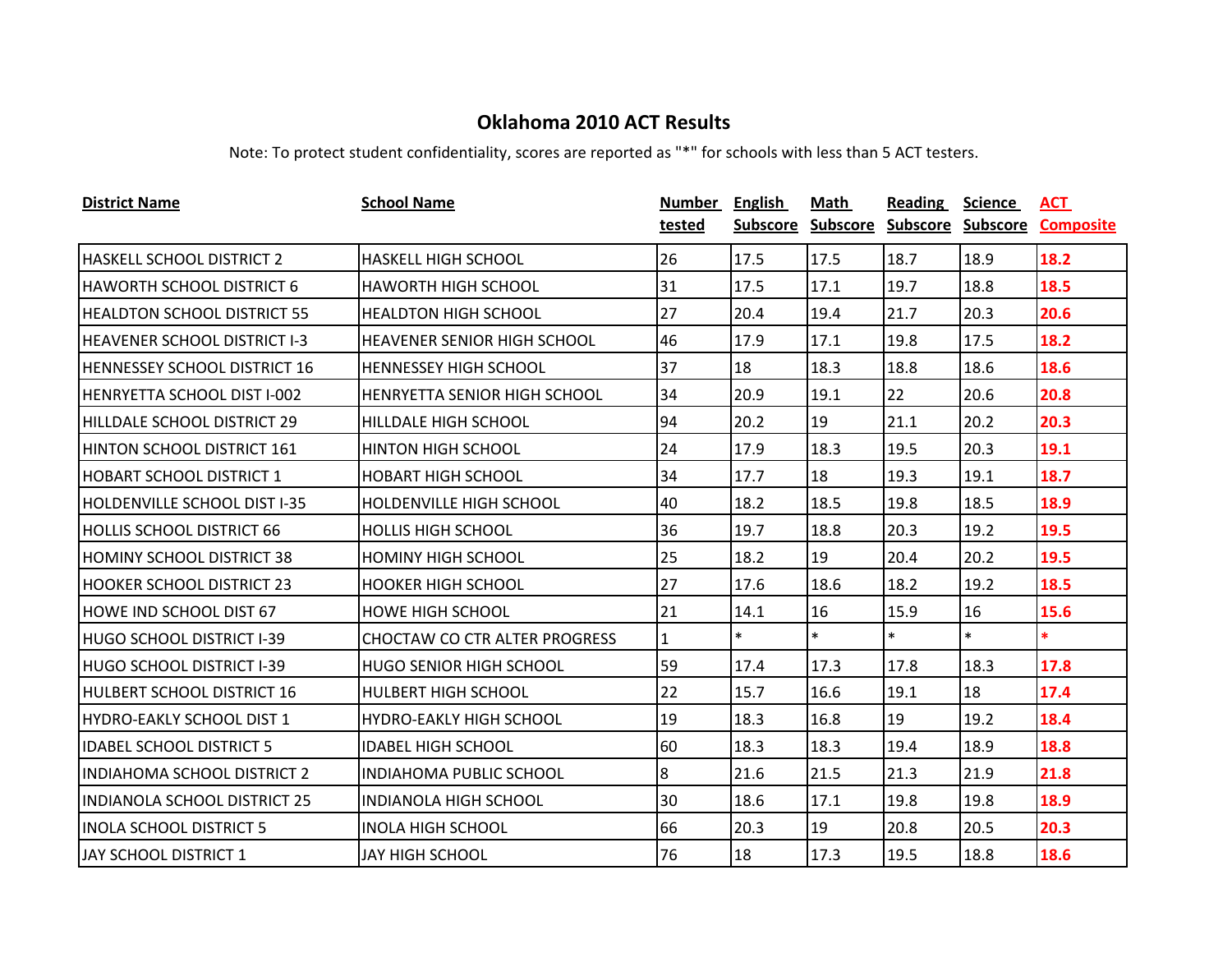| <b>District Name</b>                | <b>School Name</b>                   | Number       | <b>English</b>  | Math            | <b>Reading</b>    | <b>Science</b> | <b>ACT</b>       |
|-------------------------------------|--------------------------------------|--------------|-----------------|-----------------|-------------------|----------------|------------------|
|                                     |                                      | tested       | <b>Subscore</b> | <b>Subscore</b> | Subscore Subscore |                | <b>Composite</b> |
| <b>HASKELL SCHOOL DISTRICT 2</b>    | <b>HASKELL HIGH SCHOOL</b>           | 26           | 17.5            | 17.5            | 18.7              | 18.9           | 18.2             |
| HAWORTH SCHOOL DISTRICT 6           | <b>HAWORTH HIGH SCHOOL</b>           | 31           | 17.5            | 17.1            | 19.7              | 18.8           | 18.5             |
| <b>HEALDTON SCHOOL DISTRICT 55</b>  | <b>HEALDTON HIGH SCHOOL</b>          | 27           | 20.4            | 19.4            | 21.7              | 20.3           | 20.6             |
| <b>HEAVENER SCHOOL DISTRICT I-3</b> | <b>HEAVENER SENIOR HIGH SCHOOL</b>   | 46           | 17.9            | 17.1            | 19.8              | 17.5           | 18.2             |
| <b>HENNESSEY SCHOOL DISTRICT 16</b> | <b>HENNESSEY HIGH SCHOOL</b>         | 37           | 18              | 18.3            | 18.8              | 18.6           | 18.6             |
| HENRYETTA SCHOOL DIST I-002         | HENRYETTA SENIOR HIGH SCHOOL         | 34           | 20.9            | 19.1            | 22                | 20.6           | 20.8             |
| HILLDALE SCHOOL DISTRICT 29         | HILLDALE HIGH SCHOOL                 | 94           | 20.2            | 19              | 21.1              | 20.2           | 20.3             |
| HINTON SCHOOL DISTRICT 161          | <b>HINTON HIGH SCHOOL</b>            | 24           | 17.9            | 18.3            | 19.5              | 20.3           | 19.1             |
| <b>HOBART SCHOOL DISTRICT 1</b>     | <b>HOBART HIGH SCHOOL</b>            | 34           | 17.7            | 18              | 19.3              | 19.1           | 18.7             |
| <b>HOLDENVILLE SCHOOL DIST I-35</b> | <b>HOLDENVILLE HIGH SCHOOL</b>       | 40           | 18.2            | 18.5            | 19.8              | 18.5           | 18.9             |
| <b>HOLLIS SCHOOL DISTRICT 66</b>    | <b>HOLLIS HIGH SCHOOL</b>            | 36           | 19.7            | 18.8            | 20.3              | 19.2           | 19.5             |
| <b>HOMINY SCHOOL DISTRICT 38</b>    | <b>HOMINY HIGH SCHOOL</b>            | 25           | 18.2            | 19              | 20.4              | 20.2           | 19.5             |
| <b>HOOKER SCHOOL DISTRICT 23</b>    | <b>HOOKER HIGH SCHOOL</b>            | 27           | 17.6            | 18.6            | 18.2              | 19.2           | 18.5             |
| HOWE IND SCHOOL DIST 67             | <b>HOWE HIGH SCHOOL</b>              | 21           | 14.1            | 16              | 15.9              | 16             | 15.6             |
| HUGO SCHOOL DISTRICT I-39           | <b>CHOCTAW CO CTR ALTER PROGRESS</b> | $\mathbf{1}$ | $\ast$          | $\ast$          | $\ast$            | $\ast$         | *.               |
| HUGO SCHOOL DISTRICT I-39           | HUGO SENIOR HIGH SCHOOL              | 59           | 17.4            | 17.3            | 17.8              | 18.3           | 17.8             |
| <b>HULBERT SCHOOL DISTRICT 16</b>   | <b>HULBERT HIGH SCHOOL</b>           | 22           | 15.7            | 16.6            | 19.1              | 18             | 17.4             |
| HYDRO-EAKLY SCHOOL DIST 1           | <b>HYDRO-EAKLY HIGH SCHOOL</b>       | 19           | 18.3            | 16.8            | 19                | 19.2           | 18.4             |
| <b>IDABEL SCHOOL DISTRICT 5</b>     | <b>IDABEL HIGH SCHOOL</b>            | 60           | 18.3            | 18.3            | 19.4              | 18.9           | 18.8             |
| INDIAHOMA SCHOOL DISTRICT 2         | INDIAHOMA PUBLIC SCHOOL              | 8            | 21.6            | 21.5            | 21.3              | 21.9           | 21.8             |
| <b>INDIANOLA SCHOOL DISTRICT 25</b> | <b>INDIANOLA HIGH SCHOOL</b>         | 30           | 18.6            | 17.1            | 19.8              | 19.8           | 18.9             |
| <b>INOLA SCHOOL DISTRICT 5</b>      | <b>INOLA HIGH SCHOOL</b>             | 66           | 20.3            | 19              | 20.8              | 20.5           | 20.3             |
| JAY SCHOOL DISTRICT 1               | <b>JAY HIGH SCHOOL</b>               | 76           | 18              | 17.3            | 19.5              | 18.8           | 18.6             |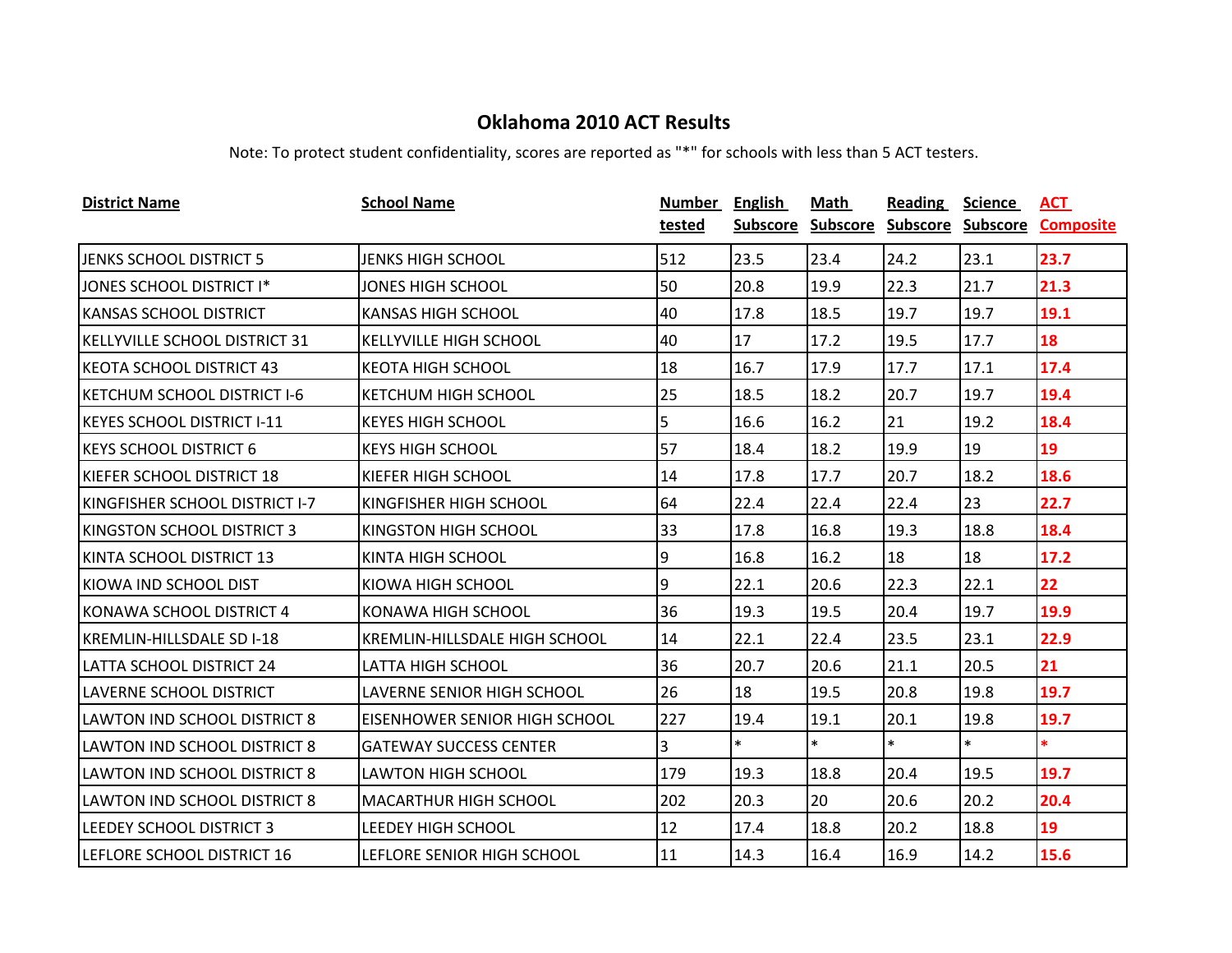| <b>District Name</b>                 | <b>School Name</b>                   | Number | <b>English</b>  | Math            | <b>Reading</b>    | <b>Science</b> | <u>ACT</u>       |
|--------------------------------------|--------------------------------------|--------|-----------------|-----------------|-------------------|----------------|------------------|
|                                      |                                      | tested | <b>Subscore</b> | <b>Subscore</b> | Subscore Subscore |                | <b>Composite</b> |
| JENKS SCHOOL DISTRICT 5              | JENKS HIGH SCHOOL                    | 512    | 23.5            | 23.4            | 24.2              | 23.1           | 23.7             |
| JONES SCHOOL DISTRICT I*             | JONES HIGH SCHOOL                    | 50     | 20.8            | 19.9            | 22.3              | 21.7           | 21.3             |
| KANSAS SCHOOL DISTRICT               | <b>KANSAS HIGH SCHOOL</b>            | 40     | 17.8            | 18.5            | 19.7              | 19.7           | 19.1             |
| <b>KELLYVILLE SCHOOL DISTRICT 31</b> | KELLYVILLE HIGH SCHOOL               | 40     | 17              | 17.2            | 19.5              | 17.7           | 18               |
| <b>KEOTA SCHOOL DISTRICT 43</b>      | <b>KEOTA HIGH SCHOOL</b>             | 18     | 16.7            | 17.9            | 17.7              | 17.1           | 17.4             |
| <b>KETCHUM SCHOOL DISTRICT I-6</b>   | <b>KETCHUM HIGH SCHOOL</b>           | 25     | 18.5            | 18.2            | 20.7              | 19.7           | 19.4             |
| <b>KEYES SCHOOL DISTRICT I-11</b>    | <b>KEYES HIGH SCHOOL</b>             | 5      | 16.6            | 16.2            | 21                | 19.2           | 18.4             |
| <b>KEYS SCHOOL DISTRICT 6</b>        | <b>KEYS HIGH SCHOOL</b>              | 57     | 18.4            | 18.2            | 19.9              | 19             | 19               |
| KIEFER SCHOOL DISTRICT 18            | <b>KIEFER HIGH SCHOOL</b>            | 14     | 17.8            | 17.7            | 20.7              | 18.2           | 18.6             |
| KINGFISHER SCHOOL DISTRICT I-7       | KINGFISHER HIGH SCHOOL               | 64     | 22.4            | 22.4            | 22.4              | 23             | 22.7             |
| KINGSTON SCHOOL DISTRICT 3           | KINGSTON HIGH SCHOOL                 | 33     | 17.8            | 16.8            | 19.3              | 18.8           | 18.4             |
| KINTA SCHOOL DISTRICT 13             | <b>KINTA HIGH SCHOOL</b>             | 9      | 16.8            | 16.2            | 18                | 18             | 17.2             |
| KIOWA IND SCHOOL DIST                | KIOWA HIGH SCHOOL                    | 9      | 22.1            | 20.6            | 22.3              | 22.1           | 22               |
| KONAWA SCHOOL DISTRICT 4             | <b>KONAWA HIGH SCHOOL</b>            | 36     | 19.3            | 19.5            | 20.4              | 19.7           | 19.9             |
| <b>KREMLIN-HILLSDALE SD I-18</b>     | <b>KREMLIN-HILLSDALE HIGH SCHOOL</b> | 14     | 22.1            | 22.4            | 23.5              | 23.1           | 22.9             |
| LATTA SCHOOL DISTRICT 24             | LATTA HIGH SCHOOL                    | 36     | 20.7            | 20.6            | 21.1              | 20.5           | 21               |
| LAVERNE SCHOOL DISTRICT              | <b>LAVERNE SENIOR HIGH SCHOOL</b>    | 26     | 18              | 19.5            | 20.8              | 19.8           | 19.7             |
| LAWTON IND SCHOOL DISTRICT 8         | <b>EISENHOWER SENIOR HIGH SCHOOL</b> | 227    | 19.4            | 19.1            | 20.1              | 19.8           | 19.7             |
| <b>LAWTON IND SCHOOL DISTRICT 8</b>  | <b>GATEWAY SUCCESS CENTER</b>        | 3      | $\ast$          | $\ast$          | $\ast$            | $\ast$         | $\ast$           |
| LAWTON IND SCHOOL DISTRICT 8         | <b>LAWTON HIGH SCHOOL</b>            | 179    | 19.3            | 18.8            | 20.4              | 19.5           | 19.7             |
| <b>LAWTON IND SCHOOL DISTRICT 8</b>  | <b>MACARTHUR HIGH SCHOOL</b>         | 202    | 20.3            | 20              | 20.6              | 20.2           | 20.4             |
| LEEDEY SCHOOL DISTRICT 3             | <b>LEEDEY HIGH SCHOOL</b>            | 12     | 17.4            | 18.8            | 20.2              | 18.8           | 19               |
| LEFLORE SCHOOL DISTRICT 16           | LEFLORE SENIOR HIGH SCHOOL           | 11     | 14.3            | 16.4            | 16.9              | 14.2           | 15.6             |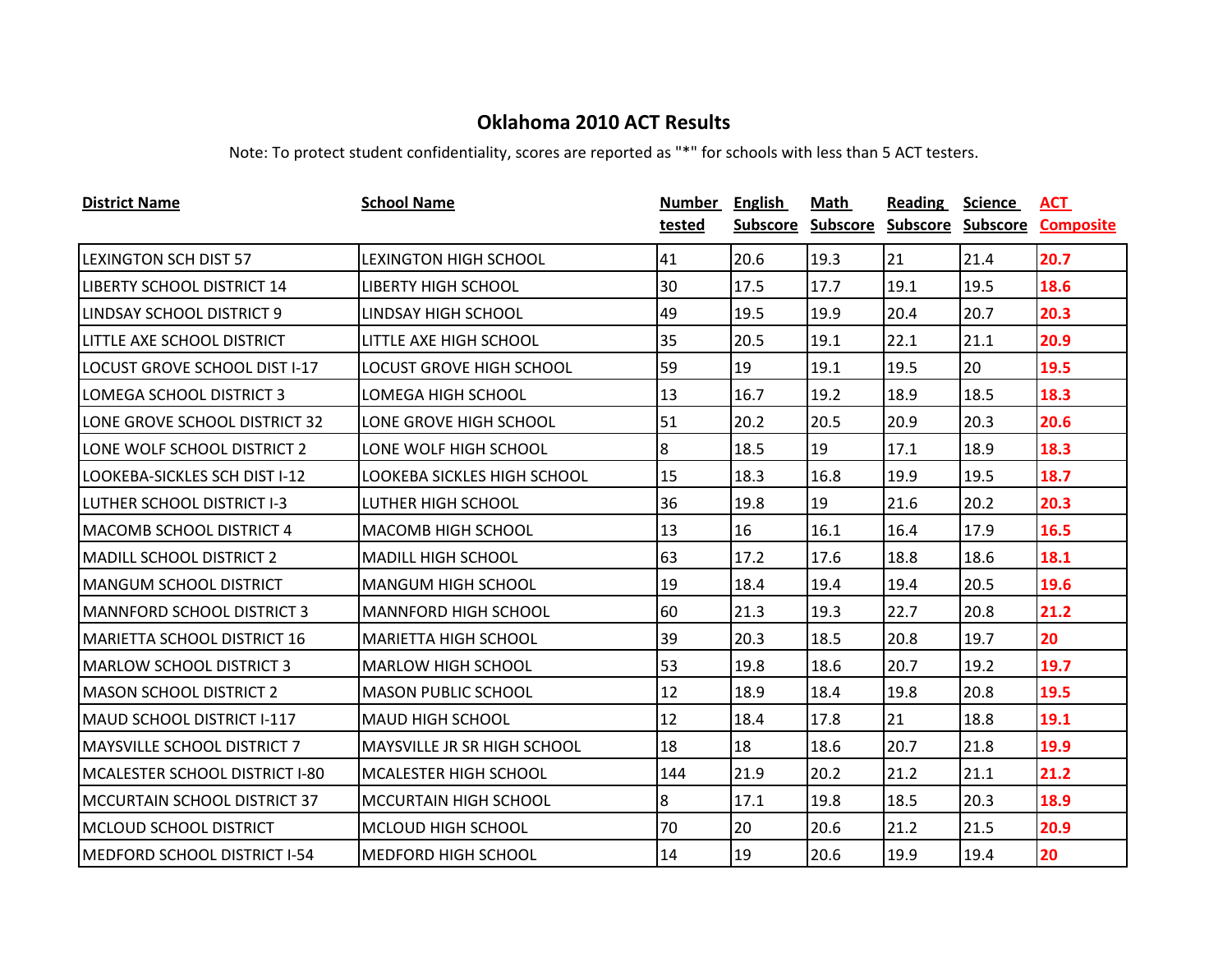| <b>District Name</b>                 | <b>School Name</b>                 | Number | <b>English</b>  | Math            | <b>Reading</b>    | <b>Science</b> | <u>ACT</u>       |
|--------------------------------------|------------------------------------|--------|-----------------|-----------------|-------------------|----------------|------------------|
|                                      |                                    | tested | <b>Subscore</b> | <b>Subscore</b> | Subscore Subscore |                | <b>Composite</b> |
| <b>LEXINGTON SCH DIST 57</b>         | <b>LEXINGTON HIGH SCHOOL</b>       | 41     | 20.6            | 19.3            | 21                | 21.4           | 20.7             |
| <b>LIBERTY SCHOOL DISTRICT 14</b>    | <b>LIBERTY HIGH SCHOOL</b>         | 30     | 17.5            | 17.7            | 19.1              | 19.5           | 18.6             |
| LINDSAY SCHOOL DISTRICT 9            | LINDSAY HIGH SCHOOL                | 49     | 19.5            | 19.9            | 20.4              | 20.7           | 20.3             |
| LITTLE AXE SCHOOL DISTRICT           | LITTLE AXE HIGH SCHOOL             | 35     | 20.5            | 19.1            | 22.1              | 21.1           | 20.9             |
| <b>LOCUST GROVE SCHOOL DIST I-17</b> | LOCUST GROVE HIGH SCHOOL           | 59     | 19              | 19.1            | 19.5              | 20             | 19.5             |
| LOMEGA SCHOOL DISTRICT 3             | LOMEGA HIGH SCHOOL                 | 13     | 16.7            | 19.2            | 18.9              | 18.5           | 18.3             |
| LONE GROVE SCHOOL DISTRICT 32        | LONE GROVE HIGH SCHOOL             | 51     | 20.2            | 20.5            | 20.9              | 20.3           | 20.6             |
| LONE WOLF SCHOOL DISTRICT 2          | LONE WOLF HIGH SCHOOL              | 8      | 18.5            | 19              | 17.1              | 18.9           | 18.3             |
| LOOKEBA-SICKLES SCH DIST I-12        | LOOKEBA SICKLES HIGH SCHOOL        | 15     | 18.3            | 16.8            | 19.9              | 19.5           | 18.7             |
| <b>LUTHER SCHOOL DISTRICT I-3</b>    | LUTHER HIGH SCHOOL                 | 36     | 19.8            | 19              | 21.6              | 20.2           | 20.3             |
| <b>MACOMB SCHOOL DISTRICT 4</b>      | <b>MACOMB HIGH SCHOOL</b>          | 13     | 16              | 16.1            | 16.4              | 17.9           | 16.5             |
| <b>MADILL SCHOOL DISTRICT 2</b>      | <b>MADILL HIGH SCHOOL</b>          | 63     | 17.2            | 17.6            | 18.8              | 18.6           | 18.1             |
| <b>MANGUM SCHOOL DISTRICT</b>        | <b>MANGUM HIGH SCHOOL</b>          | 19     | 18.4            | 19.4            | 19.4              | 20.5           | 19.6             |
| <b>MANNFORD SCHOOL DISTRICT 3</b>    | <b>MANNFORD HIGH SCHOOL</b>        | 60     | 21.3            | 19.3            | 22.7              | 20.8           | 21.2             |
| MARIETTA SCHOOL DISTRICT 16          | <b>MARIETTA HIGH SCHOOL</b>        | 39     | 20.3            | 18.5            | 20.8              | 19.7           | 20               |
| IMARLOW SCHOOL DISTRICT 3            | <b>MARLOW HIGH SCHOOL</b>          | 53     | 19.8            | 18.6            | 20.7              | 19.2           | 19.7             |
| <b>MASON SCHOOL DISTRICT 2</b>       | <b>MASON PUBLIC SCHOOL</b>         | 12     | 18.9            | 18.4            | 19.8              | 20.8           | 19.5             |
| MAUD SCHOOL DISTRICT I-117           | MAUD HIGH SCHOOL                   | 12     | 18.4            | 17.8            | 21                | 18.8           | 19.1             |
| <b>MAYSVILLE SCHOOL DISTRICT 7</b>   | <b>MAYSVILLE JR SR HIGH SCHOOL</b> | 18     | 18              | 18.6            | 20.7              | 21.8           | 19.9             |
| MCALESTER SCHOOL DISTRICT I-80       | MCALESTER HIGH SCHOOL              | 144    | 21.9            | 20.2            | 21.2              | 21.1           | 21.2             |
| MCCURTAIN SCHOOL DISTRICT 37         | <b>MCCURTAIN HIGH SCHOOL</b>       | 8      | 17.1            | 19.8            | 18.5              | 20.3           | 18.9             |
| IMCLOUD SCHOOL DISTRICT              | IMCLOUD HIGH SCHOOL                | 70     | 20              | 20.6            | 21.2              | 21.5           | 20.9             |
| MEDFORD SCHOOL DISTRICT I-54         | <b>MEDFORD HIGH SCHOOL</b>         | 14     | 19              | 20.6            | 19.9              | 19.4           | 20               |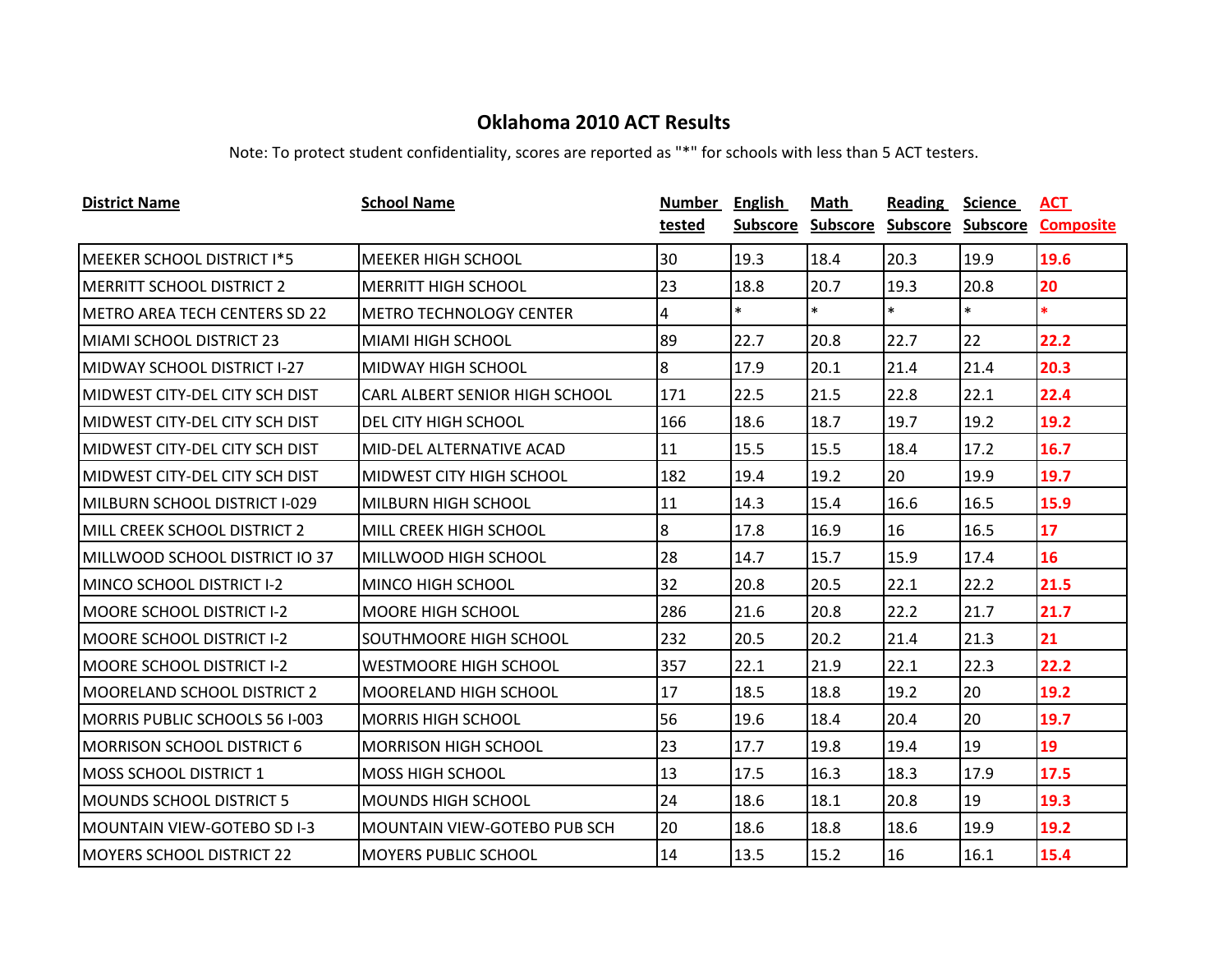| <b>District Name</b>                  | <b>School Name</b>              | Number | <b>English</b> | Math              | <b>Reading</b>    | <b>Science</b> | ACT              |
|---------------------------------------|---------------------------------|--------|----------------|-------------------|-------------------|----------------|------------------|
|                                       |                                 | tested |                | Subscore Subscore | Subscore Subscore |                | <b>Composite</b> |
| MEEKER SCHOOL DISTRICT I*5            | <b>MEEKER HIGH SCHOOL</b>       | 30     | 19.3           | 18.4              | 20.3              | 19.9           | 19.6             |
| <b>MERRITT SCHOOL DISTRICT 2</b>      | <b>MERRITT HIGH SCHOOL</b>      | 23     | 18.8           | 20.7              | 19.3              | 20.8           | 20               |
| IMETRO AREA TECH CENTERS SD 22        | <b>METRO TECHNOLOGY CENTER</b>  | 4      | $\ast$         | $\ast$            | $\ast$            | $\ast$         | $\ast$           |
| MIAMI SCHOOL DISTRICT 23              | <b>MIAMI HIGH SCHOOL</b>        | 89     | 22.7           | 20.8              | 22.7              | 22             | 22.2             |
| <b>MIDWAY SCHOOL DISTRICT I-27</b>    | <b>MIDWAY HIGH SCHOOL</b>       | 8      | 17.9           | 20.1              | 21.4              | 21.4           | 20.3             |
| MIDWEST CITY-DEL CITY SCH DIST        | CARL ALBERT SENIOR HIGH SCHOOL  | 171    | 22.5           | 21.5              | 22.8              | 22.1           | 22.4             |
| MIDWEST CITY-DEL CITY SCH DIST        | DEL CITY HIGH SCHOOL            | 166    | 18.6           | 18.7              | 19.7              | 19.2           | 19.2             |
| MIDWEST CITY-DEL CITY SCH DIST        | MID-DEL ALTERNATIVE ACAD        | 11     | 15.5           | 15.5              | 18.4              | 17.2           | 16.7             |
| <b>MIDWEST CITY-DEL CITY SCH DIST</b> | <b>MIDWEST CITY HIGH SCHOOL</b> | 182    | 19.4           | 19.2              | 20                | 19.9           | 19.7             |
| MILBURN SCHOOL DISTRICT I-029         | <b>MILBURN HIGH SCHOOL</b>      | 11     | 14.3           | 15.4              | 16.6              | 16.5           | 15.9             |
| MILL CREEK SCHOOL DISTRICT 2          | <b>MILL CREEK HIGH SCHOOL</b>   | 8      | 17.8           | 16.9              | 16                | 16.5           | 17               |
| MILLWOOD SCHOOL DISTRICT IO 37        | MILLWOOD HIGH SCHOOL            | 28     | 14.7           | 15.7              | 15.9              | 17.4           | 16               |
| MINCO SCHOOL DISTRICT I-2             | <b>MINCO HIGH SCHOOL</b>        | 32     | 20.8           | 20.5              | 22.1              | 22.2           | 21.5             |
| <b>MOORE SCHOOL DISTRICT I-2</b>      | <b>MOORE HIGH SCHOOL</b>        | 286    | 21.6           | 20.8              | 22.2              | 21.7           | 21.7             |
| <b>MOORE SCHOOL DISTRICT I-2</b>      | <b>SOUTHMOORE HIGH SCHOOL</b>   | 232    | 20.5           | 20.2              | 21.4              | 21.3           | 21               |
| <b>MOORE SCHOOL DISTRICT I-2</b>      | <b>WESTMOORE HIGH SCHOOL</b>    | 357    | 22.1           | 21.9              | 22.1              | 22.3           | 22.2             |
| <b>MOORELAND SCHOOL DISTRICT 2</b>    | <b>MOORELAND HIGH SCHOOL</b>    | 17     | 18.5           | 18.8              | 19.2              | 20             | 19.2             |
| MORRIS PUBLIC SCHOOLS 56 I-003        | MORRIS HIGH SCHOOL              | 56     | 19.6           | 18.4              | 20.4              | 20             | 19.7             |
| <b>MORRISON SCHOOL DISTRICT 6</b>     | <b>MORRISON HIGH SCHOOL</b>     | 23     | 17.7           | 19.8              | 19.4              | 19             | 19               |
| <b>IMOSS SCHOOL DISTRICT 1</b>        | <b>MOSS HIGH SCHOOL</b>         | 13     | 17.5           | 16.3              | 18.3              | 17.9           | 17.5             |
| <b>MOUNDS SCHOOL DISTRICT 5</b>       | <b>MOUNDS HIGH SCHOOL</b>       | 24     | 18.6           | 18.1              | 20.8              | 19             | 19.3             |
| IMOUNTAIN VIEW-GOTEBO SD I-3          | MOUNTAIN VIEW-GOTEBO PUB SCH    | 20     | 18.6           | 18.8              | 18.6              | 19.9           | 19.2             |
| <b>MOYERS SCHOOL DISTRICT 22</b>      | <b>MOYERS PUBLIC SCHOOL</b>     | 14     | 13.5           | 15.2              | 16                | 16.1           | 15.4             |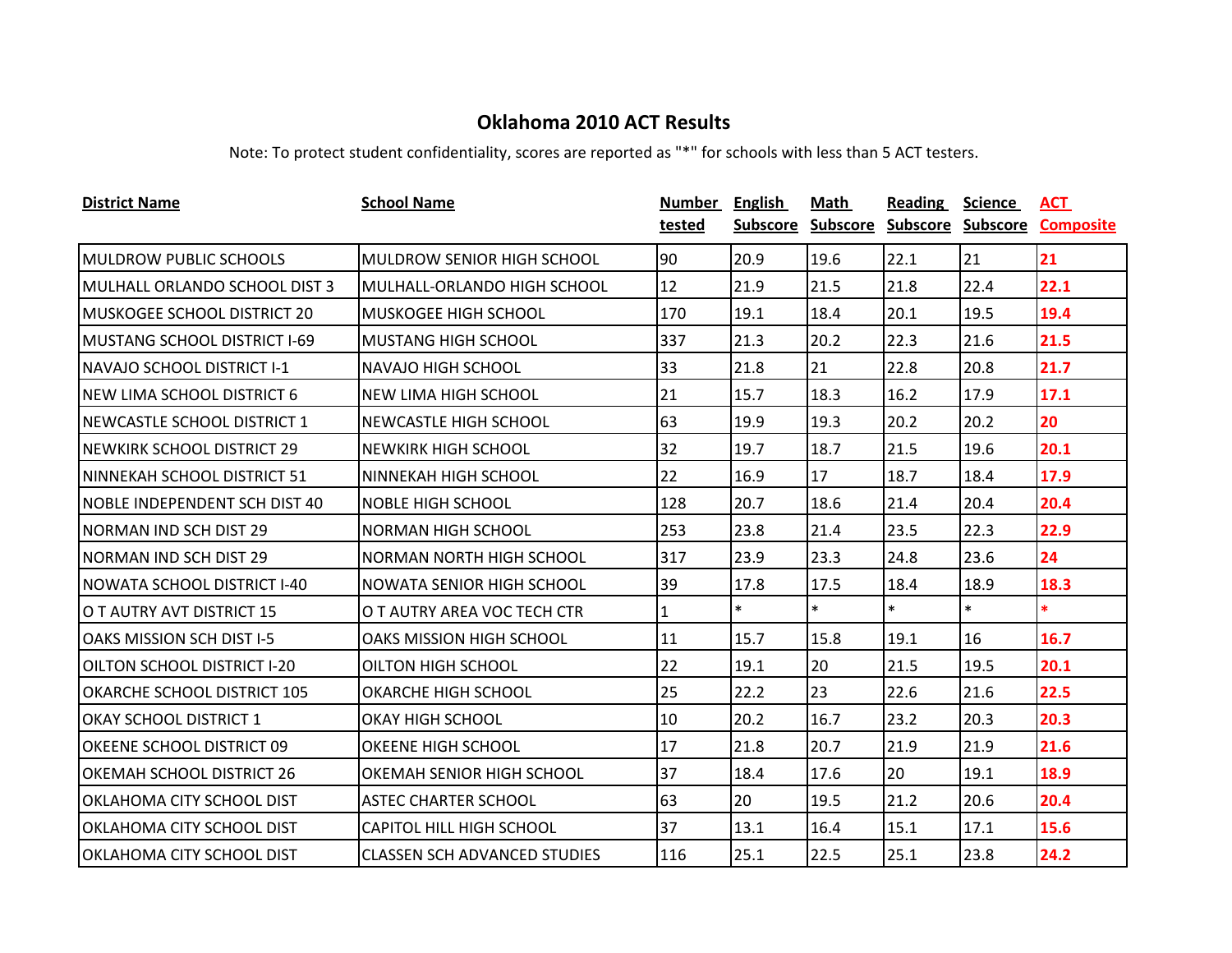| <b>District Name</b>                 | <b>School Name</b>                  | Number | <b>English</b> | Math   | <b>Reading</b>                      | <b>Science</b> | ACT              |
|--------------------------------------|-------------------------------------|--------|----------------|--------|-------------------------------------|----------------|------------------|
|                                      |                                     | tested |                |        | Subscore Subscore Subscore Subscore |                | <b>Composite</b> |
| <b>MULDROW PUBLIC SCHOOLS</b>        | <b>MULDROW SENIOR HIGH SCHOOL</b>   | 90     | 20.9           | 19.6   | 22.1                                | 21             | 21               |
| MULHALL ORLANDO SCHOOL DIST 3        | MULHALL-ORLANDO HIGH SCHOOL         | 12     | 21.9           | 21.5   | 21.8                                | 22.4           | 22.1             |
| IMUSKOGEE SCHOOL DISTRICT 20         | <b>MUSKOGEE HIGH SCHOOL</b>         | 170    | 19.1           | 18.4   | 20.1                                | 19.5           | 19.4             |
| MUSTANG SCHOOL DISTRICT I-69         | <b>MUSTANG HIGH SCHOOL</b>          | 337    | 21.3           | 20.2   | 22.3                                | 21.6           | 21.5             |
| <b>NAVAJO SCHOOL DISTRICT I-1</b>    | <b>NAVAJO HIGH SCHOOL</b>           | 33     | 21.8           | 21     | 22.8                                | 20.8           | 21.7             |
| NEW LIMA SCHOOL DISTRICT 6           | NEW LIMA HIGH SCHOOL                | 21     | 15.7           | 18.3   | 16.2                                | 17.9           | 17.1             |
| NEWCASTLE SCHOOL DISTRICT 1          | <b>NEWCASTLE HIGH SCHOOL</b>        | 63     | 19.9           | 19.3   | 20.2                                | 20.2           | 20               |
| <b>NEWKIRK SCHOOL DISTRICT 29</b>    | <b>NEWKIRK HIGH SCHOOL</b>          | 32     | 19.7           | 18.7   | 21.5                                | 19.6           | 20.1             |
| NINNEKAH SCHOOL DISTRICT 51          | NINNEKAH HIGH SCHOOL                | 22     | 16.9           | 17     | 18.7                                | 18.4           | 17.9             |
| <b>NOBLE INDEPENDENT SCH DIST 40</b> | <b>NOBLE HIGH SCHOOL</b>            | 128    | 20.7           | 18.6   | 21.4                                | 20.4           | 20.4             |
| NORMAN IND SCH DIST 29               | NORMAN HIGH SCHOOL                  | 253    | 23.8           | 21.4   | 23.5                                | 22.3           | 22.9             |
| <b>NORMAN IND SCH DIST 29</b>        | NORMAN NORTH HIGH SCHOOL            | 317    | 23.9           | 23.3   | 24.8                                | 23.6           | 24               |
| NOWATA SCHOOL DISTRICT I-40          | NOWATA SENIOR HIGH SCHOOL           | 39     | 17.8           | 17.5   | 18.4                                | 18.9           | 18.3             |
| O T AUTRY AVT DISTRICT 15            | O T AUTRY AREA VOC TECH CTR         | 1      | $\ast$         | $\ast$ | $\ast$                              | $\ast$         | $\ast$           |
| OAKS MISSION SCH DIST I-5            | <b>OAKS MISSION HIGH SCHOOL</b>     | 11     | 15.7           | 15.8   | 19.1                                | 16             | 16.7             |
| <b>OILTON SCHOOL DISTRICT I-20</b>   | OILTON HIGH SCHOOL                  | 22     | 19.1           | 20     | 21.5                                | 19.5           | 20.1             |
| <b>OKARCHE SCHOOL DISTRICT 105</b>   | <b>OKARCHE HIGH SCHOOL</b>          | 25     | 22.2           | 23     | 22.6                                | 21.6           | 22.5             |
| IOKAY SCHOOL DISTRICT 1              | OKAY HIGH SCHOOL                    | 10     | 20.2           | 16.7   | 23.2                                | 20.3           | 20.3             |
| OKEENE SCHOOL DISTRICT 09            | OKEENE HIGH SCHOOL                  | 17     | 21.8           | 20.7   | 21.9                                | 21.9           | 21.6             |
| <b>OKEMAH SCHOOL DISTRICT 26</b>     | OKEMAH SENIOR HIGH SCHOOL           | 37     | 18.4           | 17.6   | 20                                  | 19.1           | 18.9             |
| <b>OKLAHOMA CITY SCHOOL DIST</b>     | <b>ASTEC CHARTER SCHOOL</b>         | 63     | 20             | 19.5   | 21.2                                | 20.6           | 20.4             |
| IOKLAHOMA CITY SCHOOL DIST           | <b>CAPITOL HILL HIGH SCHOOL</b>     | 37     | 13.1           | 16.4   | 15.1                                | 17.1           | 15.6             |
| IOKLAHOMA CITY SCHOOL DIST           | <b>CLASSEN SCH ADVANCED STUDIES</b> | 116    | 25.1           | 22.5   | 25.1                                | 23.8           | 24.2             |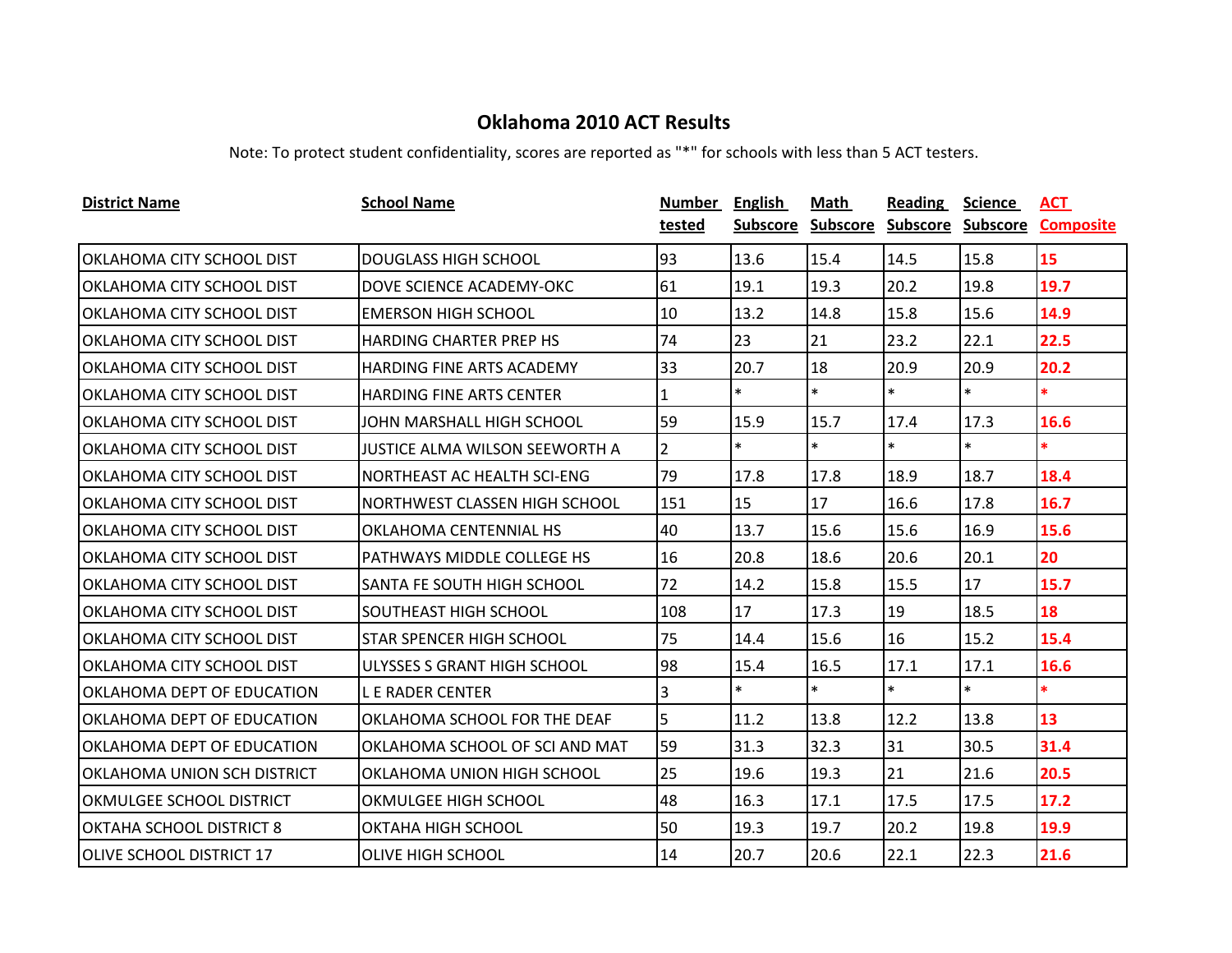| <b>District Name</b>             | <b>School Name</b>                | Number         | <b>English</b> | Math            | Reading           | <b>Science</b> | ACT              |
|----------------------------------|-----------------------------------|----------------|----------------|-----------------|-------------------|----------------|------------------|
|                                  |                                   | tested         | Subscore       | <b>Subscore</b> | Subscore Subscore |                | <b>Composite</b> |
| OKLAHOMA CITY SCHOOL DIST        | <b>DOUGLASS HIGH SCHOOL</b>       | 93             | 13.6           | 15.4            | 14.5              | 15.8           | 15               |
| OKLAHOMA CITY SCHOOL DIST        | DOVE SCIENCE ACADEMY-OKC          | 61             | 19.1           | 19.3            | 20.2              | 19.8           | 19.7             |
| OKLAHOMA CITY SCHOOL DIST        | <b>EMERSON HIGH SCHOOL</b>        | 10             | 13.2           | 14.8            | 15.8              | 15.6           | 14.9             |
| OKLAHOMA CITY SCHOOL DIST        | <b>HARDING CHARTER PREP HS</b>    | 74             | 23             | 21              | 23.2              | 22.1           | 22.5             |
| OKLAHOMA CITY SCHOOL DIST        | <b>HARDING FINE ARTS ACADEMY</b>  | 33             | 20.7           | 18              | 20.9              | 20.9           | 20.2             |
| OKLAHOMA CITY SCHOOL DIST        | HARDING FINE ARTS CENTER          | 1              | $\ast$         | $\ast$          | $\ast$            | $\ast$         | $\ast$           |
| OKLAHOMA CITY SCHOOL DIST        | JOHN MARSHALL HIGH SCHOOL         | 59             | 15.9           | 15.7            | 17.4              | 17.3           | 16.6             |
| OKLAHOMA CITY SCHOOL DIST        | JUSTICE ALMA WILSON SEEWORTH A    | $\overline{2}$ | $\ast$         | $\ast$          | $\ast$            | $\ast$         | $\ast$           |
| IOKLAHOMA CITY SCHOOL DIST       | NORTHEAST AC HEALTH SCI-ENG       | 79             | 17.8           | 17.8            | 18.9              | 18.7           | 18.4             |
| OKLAHOMA CITY SCHOOL DIST        | NORTHWEST CLASSEN HIGH SCHOOL     | 151            | 15             | 17              | 16.6              | 17.8           | 16.7             |
| OKLAHOMA CITY SCHOOL DIST        | OKLAHOMA CENTENNIAL HS            | 40             | 13.7           | 15.6            | 15.6              | 16.9           | 15.6             |
| OKLAHOMA CITY SCHOOL DIST        | <b>PATHWAYS MIDDLE COLLEGE HS</b> | 16             | 20.8           | 18.6            | 20.6              | 20.1           | 20               |
| OKLAHOMA CITY SCHOOL DIST        | <b>SANTA FE SOUTH HIGH SCHOOL</b> | 72             | 14.2           | 15.8            | 15.5              | 17             | 15.7             |
| OKLAHOMA CITY SCHOOL DIST        | <b>SOUTHEAST HIGH SCHOOL</b>      | 108            | 17             | 17.3            | 19                | 18.5           | 18               |
| <b>OKLAHOMA CITY SCHOOL DIST</b> | <b>STAR SPENCER HIGH SCHOOL</b>   | 75             | 14.4           | 15.6            | 16                | 15.2           | 15.4             |
| OKLAHOMA CITY SCHOOL DIST        | ULYSSES S GRANT HIGH SCHOOL       | 98             | 15.4           | 16.5            | 17.1              | 17.1           | 16.6             |
| OKLAHOMA DEPT OF EDUCATION       | <b>LE RADER CENTER</b>            | 3              | $\ast$         | $\ast$          | $\ast$            | $\ast$         | $\ast$           |
| OKLAHOMA DEPT OF EDUCATION       | OKLAHOMA SCHOOL FOR THE DEAF      | 5              | 11.2           | 13.8            | 12.2              | 13.8           | 13               |
| OKLAHOMA DEPT OF EDUCATION       | OKLAHOMA SCHOOL OF SCI AND MAT    | 59             | 31.3           | 32.3            | 31                | 30.5           | 31.4             |
| IOKLAHOMA UNION SCH DISTRICT     | OKLAHOMA UNION HIGH SCHOOL        | 25             | 19.6           | 19.3            | 21                | 21.6           | 20.5             |
| OKMULGEE SCHOOL DISTRICT         | OKMULGEE HIGH SCHOOL              | 48             | 16.3           | 17.1            | 17.5              | 17.5           | 17.2             |
| <b>OKTAHA SCHOOL DISTRICT 8</b>  | OKTAHA HIGH SCHOOL                | 50             | 19.3           | 19.7            | 20.2              | 19.8           | 19.9             |
| <b>OLIVE SCHOOL DISTRICT 17</b>  | <b>OLIVE HIGH SCHOOL</b>          | 14             | 20.7           | 20.6            | 22.1              | 22.3           | 21.6             |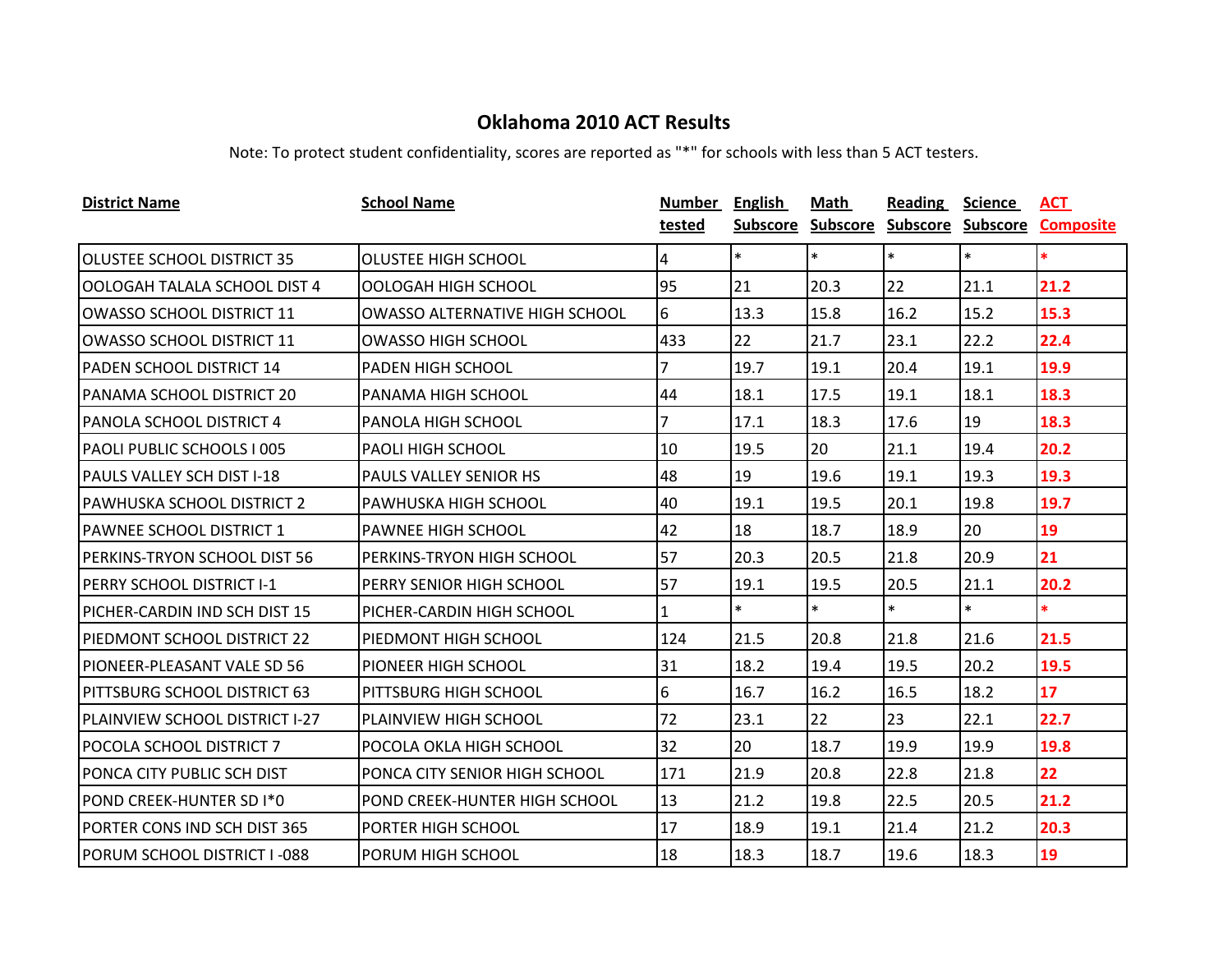| <b>District Name</b>               | <b>School Name</b>                    | Number | <b>English</b>  | Math            | <b>Reading</b>    | <b>Science</b> | <u>ACT</u>       |
|------------------------------------|---------------------------------------|--------|-----------------|-----------------|-------------------|----------------|------------------|
|                                    |                                       | tested | <b>Subscore</b> | <b>Subscore</b> | Subscore Subscore |                | <b>Composite</b> |
| <b>OLUSTEE SCHOOL DISTRICT 35</b>  | <b>OLUSTEE HIGH SCHOOL</b>            | 4      | $\ast$          | $\ast$          | $\ast$            | $\ast$         | *.               |
| IOOLOGAH TALALA SCHOOL DIST 4      | OOLOGAH HIGH SCHOOL                   | 95     | 21              | 20.3            | 22                | 21.1           | 21.2             |
| OWASSO SCHOOL DISTRICT 11          | <b>OWASSO ALTERNATIVE HIGH SCHOOL</b> | 6      | 13.3            | 15.8            | 16.2              | 15.2           | 15.3             |
| <b>OWASSO SCHOOL DISTRICT 11</b>   | <b>OWASSO HIGH SCHOOL</b>             | 433    | 22              | 21.7            | 23.1              | 22.2           | 22.4             |
| <b>PADEN SCHOOL DISTRICT 14</b>    | <b>PADEN HIGH SCHOOL</b>              | 7      | 19.7            | 19.1            | 20.4              | 19.1           | 19.9             |
| PANAMA SCHOOL DISTRICT 20          | PANAMA HIGH SCHOOL                    | 44     | 18.1            | 17.5            | 19.1              | 18.1           | 18.3             |
| PANOLA SCHOOL DISTRICT 4           | PANOLA HIGH SCHOOL                    | 7      | 17.1            | 18.3            | 17.6              | 19             | 18.3             |
| PAOLI PUBLIC SCHOOLS I 005         | <b>PAOLI HIGH SCHOOL</b>              | 10     | 19.5            | 20              | 21.1              | 19.4           | 20.2             |
| <b>PAULS VALLEY SCH DIST I-18</b>  | PAULS VALLEY SENIOR HS                | 48     | 19              | 19.6            | 19.1              | 19.3           | 19.3             |
| <b>PAWHUSKA SCHOOL DISTRICT 2</b>  | PAWHUSKA HIGH SCHOOL                  | 40     | 19.1            | 19.5            | 20.1              | 19.8           | 19.7             |
| <b>PAWNEE SCHOOL DISTRICT 1</b>    | PAWNEE HIGH SCHOOL                    | 42     | 18              | 18.7            | 18.9              | 20             | 19               |
| PERKINS-TRYON SCHOOL DIST 56       | PERKINS-TRYON HIGH SCHOOL             | 57     | 20.3            | 20.5            | 21.8              | 20.9           | 21               |
| PERRY SCHOOL DISTRICT I-1          | PERRY SENIOR HIGH SCHOOL              | 57     | 19.1            | 19.5            | 20.5              | 21.1           | 20.2             |
| PICHER-CARDIN IND SCH DIST 15      | PICHER-CARDIN HIGH SCHOOL             | 1      | $\ast$          | $\ast$          | $\ast$            | $\ast$         | *.               |
| PIEDMONT SCHOOL DISTRICT 22        | PIEDMONT HIGH SCHOOL                  | 124    | 21.5            | 20.8            | 21.8              | 21.6           | 21.5             |
| PIONEER-PLEASANT VALE SD 56        | PIONEER HIGH SCHOOL                   | 31     | 18.2            | 19.4            | 19.5              | 20.2           | 19.5             |
| PITTSBURG SCHOOL DISTRICT 63       | PITTSBURG HIGH SCHOOL                 | 6      | 16.7            | 16.2            | 16.5              | 18.2           | 17 <sup>2</sup>  |
| PLAINVIEW SCHOOL DISTRICT I-27     | <b>PLAINVIEW HIGH SCHOOL</b>          | 72     | 23.1            | 22              | 23                | 22.1           | 22.7             |
| POCOLA SCHOOL DISTRICT 7           | POCOLA OKLA HIGH SCHOOL               | 32     | 20              | 18.7            | 19.9              | 19.9           | 19.8             |
| PONCA CITY PUBLIC SCH DIST         | PONCA CITY SENIOR HIGH SCHOOL         | 171    | 21.9            | 20.8            | 22.8              | 21.8           | 22               |
| POND CREEK-HUNTER SD I*0           | POND CREEK-HUNTER HIGH SCHOOL         | 13     | 21.2            | 19.8            | 22.5              | 20.5           | 21.2             |
| PORTER CONS IND SCH DIST 365       | PORTER HIGH SCHOOL                    | 17     | 18.9            | 19.1            | 21.4              | 21.2           | 20.3             |
| <b>PORUM SCHOOL DISTRICT I-088</b> | PORUM HIGH SCHOOL                     | 18     | 18.3            | 18.7            | 19.6              | 18.3           | 19               |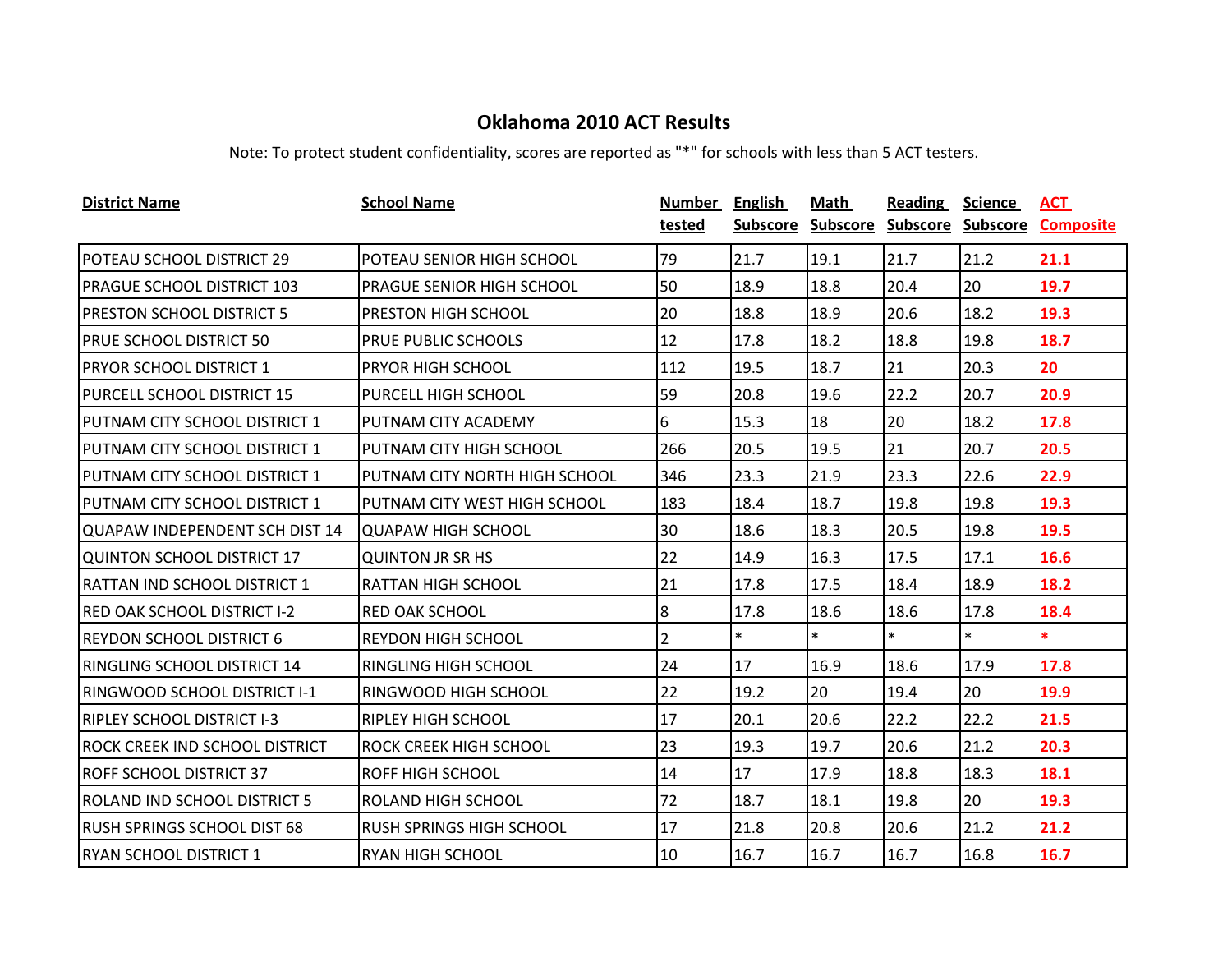| <b>District Name</b>                  | <b>School Name</b>               | Number         | <b>English</b> | Math            | Reading           | <b>Science</b> | ACT              |
|---------------------------------------|----------------------------------|----------------|----------------|-----------------|-------------------|----------------|------------------|
|                                       |                                  | tested         | Subscore       | <b>Subscore</b> | Subscore Subscore |                | <b>Composite</b> |
| POTEAU SCHOOL DISTRICT 29             | POTEAU SENIOR HIGH SCHOOL        | 79             | 21.7           | 19.1            | 21.7              | 21.2           | 21.1             |
| <b>PRAGUE SCHOOL DISTRICT 103</b>     | <b>PRAGUE SENIOR HIGH SCHOOL</b> | 50             | 18.9           | 18.8            | 20.4              | 20             | 19.7             |
| <b>PRESTON SCHOOL DISTRICT 5</b>      | <b>PRESTON HIGH SCHOOL</b>       | 20             | 18.8           | 18.9            | 20.6              | 18.2           | 19.3             |
| <b>PRUE SCHOOL DISTRICT 50</b>        | PRUE PUBLIC SCHOOLS              | 12             | 17.8           | 18.2            | 18.8              | 19.8           | 18.7             |
| <b>PRYOR SCHOOL DISTRICT 1</b>        | <b>PRYOR HIGH SCHOOL</b>         | 112            | 19.5           | 18.7            | 21                | 20.3           | 20               |
| PURCELL SCHOOL DISTRICT 15            | PURCELL HIGH SCHOOL              | 59             | 20.8           | 19.6            | 22.2              | 20.7           | 20.9             |
| PUTNAM CITY SCHOOL DISTRICT 1         | <b>PUTNAM CITY ACADEMY</b>       | 6              | 15.3           | 18              | 20                | 18.2           | 17.8             |
| PUTNAM CITY SCHOOL DISTRICT 1         | PUTNAM CITY HIGH SCHOOL          | 266            | 20.5           | 19.5            | 21                | 20.7           | 20.5             |
| PUTNAM CITY SCHOOL DISTRICT 1         | PUTNAM CITY NORTH HIGH SCHOOL    | 346            | 23.3           | 21.9            | 23.3              | 22.6           | 22.9             |
| PUTNAM CITY SCHOOL DISTRICT 1         | PUTNAM CITY WEST HIGH SCHOOL     | 183            | 18.4           | 18.7            | 19.8              | 19.8           | 19.3             |
| QUAPAW INDEPENDENT SCH DIST 14        | <b>QUAPAW HIGH SCHOOL</b>        | 30             | 18.6           | 18.3            | 20.5              | 19.8           | 19.5             |
| QUINTON SCHOOL DISTRICT 17            | <b>QUINTON JR SR HS</b>          | 22             | 14.9           | 16.3            | 17.5              | 17.1           | 16.6             |
| <b>RATTAN IND SCHOOL DISTRICT 1</b>   | <b>RATTAN HIGH SCHOOL</b>        | 21             | 17.8           | 17.5            | 18.4              | 18.9           | 18.2             |
| <b>RED OAK SCHOOL DISTRICT I-2</b>    | <b>RED OAK SCHOOL</b>            | 8              | 17.8           | 18.6            | 18.6              | 17.8           | 18.4             |
| <b>REYDON SCHOOL DISTRICT 6</b>       | IREYDON HIGH SCHOOL              | $\overline{2}$ | $\ast$         | $\ast$          | $\ast$            | $\ast$         | $\ast$           |
| <b>RINGLING SCHOOL DISTRICT 14</b>    | <b>RINGLING HIGH SCHOOL</b>      | 24             | 17             | 16.9            | 18.6              | 17.9           | 17.8             |
| <b>RINGWOOD SCHOOL DISTRICT I-1</b>   | <b>RINGWOOD HIGH SCHOOL</b>      | 22             | 19.2           | 20              | 19.4              | 20             | 19.9             |
| <b>RIPLEY SCHOOL DISTRICT I-3</b>     | <b>RIPLEY HIGH SCHOOL</b>        | 17             | 20.1           | 20.6            | 22.2              | 22.2           | 21.5             |
| <b>ROCK CREEK IND SCHOOL DISTRICT</b> | <b>ROCK CREEK HIGH SCHOOL</b>    | 23             | 19.3           | 19.7            | 20.6              | 21.2           | 20.3             |
| <b>ROFF SCHOOL DISTRICT 37</b>        | <b>ROFF HIGH SCHOOL</b>          | 14             | 17             | 17.9            | 18.8              | 18.3           | 18.1             |
| <b>ROLAND IND SCHOOL DISTRICT 5</b>   | <b>ROLAND HIGH SCHOOL</b>        | 72             | 18.7           | 18.1            | 19.8              | 20             | 19.3             |
| <b>RUSH SPRINGS SCHOOL DIST 68</b>    | RUSH SPRINGS HIGH SCHOOL         | 17             | 21.8           | 20.8            | 20.6              | 21.2           | 21.2             |
| <b>RYAN SCHOOL DISTRICT 1</b>         | <b>RYAN HIGH SCHOOL</b>          | 10             | 16.7           | 16.7            | 16.7              | 16.8           | 16.7             |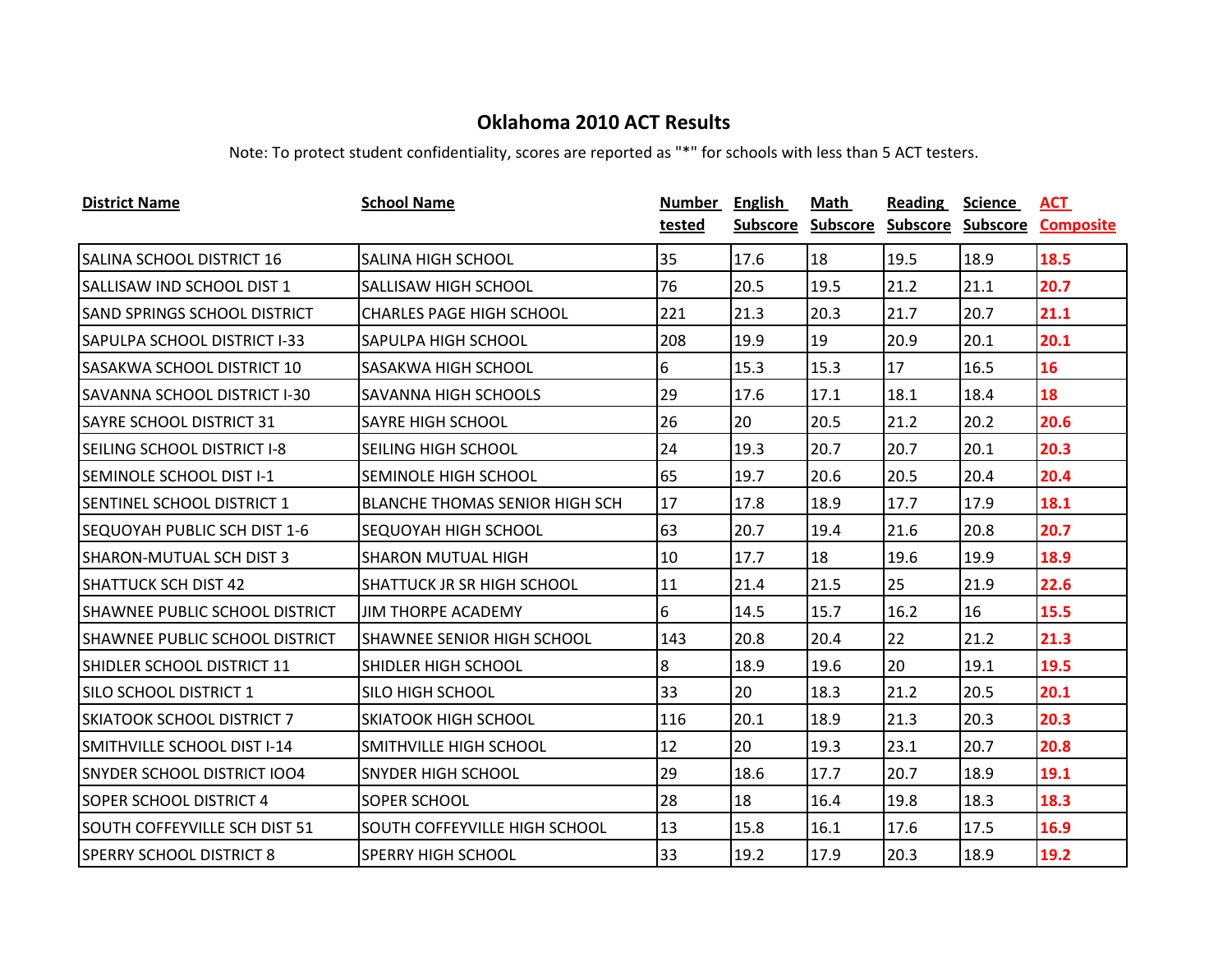| <b>District Name</b>                  | <b>School Name</b>                    | Number | <b>English</b>  | Math            | <b>Reading</b>    | <b>Science</b> | ACT              |
|---------------------------------------|---------------------------------------|--------|-----------------|-----------------|-------------------|----------------|------------------|
|                                       |                                       | tested | <b>Subscore</b> | <b>Subscore</b> | Subscore Subscore |                | <b>Composite</b> |
| <b>SALINA SCHOOL DISTRICT 16</b>      | <b>SALINA HIGH SCHOOL</b>             | 35     | 17.6            | 18              | 19.5              | 18.9           | 18.5             |
| SALLISAW IND SCHOOL DIST 1            | <b>SALLISAW HIGH SCHOOL</b>           | 76     | 20.5            | 19.5            | 21.2              | 21.1           | 20.7             |
| <b>SAND SPRINGS SCHOOL DISTRICT</b>   | <b>CHARLES PAGE HIGH SCHOOL</b>       | 221    | 21.3            | 20.3            | 21.7              | 20.7           | 21.1             |
| <b>SAPULPA SCHOOL DISTRICT I-33</b>   | SAPULPA HIGH SCHOOL                   | 208    | 19.9            | 19              | 20.9              | 20.1           | 20.1             |
| <b>SASAKWA SCHOOL DISTRICT 10</b>     | SASAKWA HIGH SCHOOL                   | 6      | 15.3            | 15.3            | 17                | 16.5           | 16               |
| <b>SAVANNA SCHOOL DISTRICT I-30</b>   | <b>SAVANNA HIGH SCHOOLS</b>           | 29     | 17.6            | 17.1            | 18.1              | 18.4           | 18               |
| <b>SAYRE SCHOOL DISTRICT 31</b>       | <b>SAYRE HIGH SCHOOL</b>              | 26     | 20              | 20.5            | 21.2              | 20.2           | 20.6             |
| SEILING SCHOOL DISTRICT I-8           | <b>SEILING HIGH SCHOOL</b>            | 24     | 19.3            | 20.7            | 20.7              | 20.1           | 20.3             |
| <b>SEMINOLE SCHOOL DIST I-1</b>       | <b>SEMINOLE HIGH SCHOOL</b>           | 65     | 19.7            | 20.6            | 20.5              | 20.4           | 20.4             |
| SENTINEL SCHOOL DISTRICT 1            | <b>BLANCHE THOMAS SENIOR HIGH SCH</b> | 17     | 17.8            | 18.9            | 17.7              | 17.9           | 18.1             |
| <b>SEQUOYAH PUBLIC SCH DIST 1-6</b>   | <b>SEQUOYAH HIGH SCHOOL</b>           | 63     | 20.7            | 19.4            | 21.6              | 20.8           | 20.7             |
| <b>SHARON-MUTUAL SCH DIST 3</b>       | <b>SHARON MUTUAL HIGH</b>             | 10     | 17.7            | 18              | 19.6              | 19.9           | 18.9             |
| <b>SHATTUCK SCH DIST 42</b>           | <b>SHATTUCK JR SR HIGH SCHOOL</b>     | 11     | 21.4            | 21.5            | 25                | 21.9           | 22.6             |
| SHAWNEE PUBLIC SCHOOL DISTRICT        | <b>JIM THORPE ACADEMY</b>             | 6      | 14.5            | 15.7            | 16.2              | 16             | 15.5             |
| <b>SHAWNEE PUBLIC SCHOOL DISTRICT</b> | <b>SHAWNEE SENIOR HIGH SCHOOL</b>     | 143    | 20.8            | 20.4            | 22                | 21.2           | 21.3             |
| SHIDLER SCHOOL DISTRICT 11            | SHIDLER HIGH SCHOOL                   | 8      | 18.9            | 19.6            | 20                | 19.1           | 19.5             |
| <b>SILO SCHOOL DISTRICT 1</b>         | <b>SILO HIGH SCHOOL</b>               | 33     | 20              | 18.3            | 21.2              | 20.5           | 20.1             |
| <b>SKIATOOK SCHOOL DISTRICT 7</b>     | <b>SKIATOOK HIGH SCHOOL</b>           | 116    | 20.1            | 18.9            | 21.3              | 20.3           | 20.3             |
| ISMITHVILLE SCHOOL DIST I-14          | SMITHVILLE HIGH SCHOOL                | 12     | 20              | 19.3            | 23.1              | 20.7           | 20.8             |
| <b>SNYDER SCHOOL DISTRICT IOO4</b>    | <b>SNYDER HIGH SCHOOL</b>             | 29     | 18.6            | 17.7            | 20.7              | 18.9           | 19.1             |
| <b>SOPER SCHOOL DISTRICT 4</b>        | SOPER SCHOOL                          | 28     | 18              | 16.4            | 19.8              | 18.3           | 18.3             |
| <b>SOUTH COFFEYVILLE SCH DIST 51</b>  | SOUTH COFFEYVILLE HIGH SCHOOL         | 13     | 15.8            | 16.1            | 17.6              | 17.5           | 16.9             |
| <b>SPERRY SCHOOL DISTRICT 8</b>       | <b>SPERRY HIGH SCHOOL</b>             | 33     | 19.2            | 17.9            | 20.3              | 18.9           | 19.2             |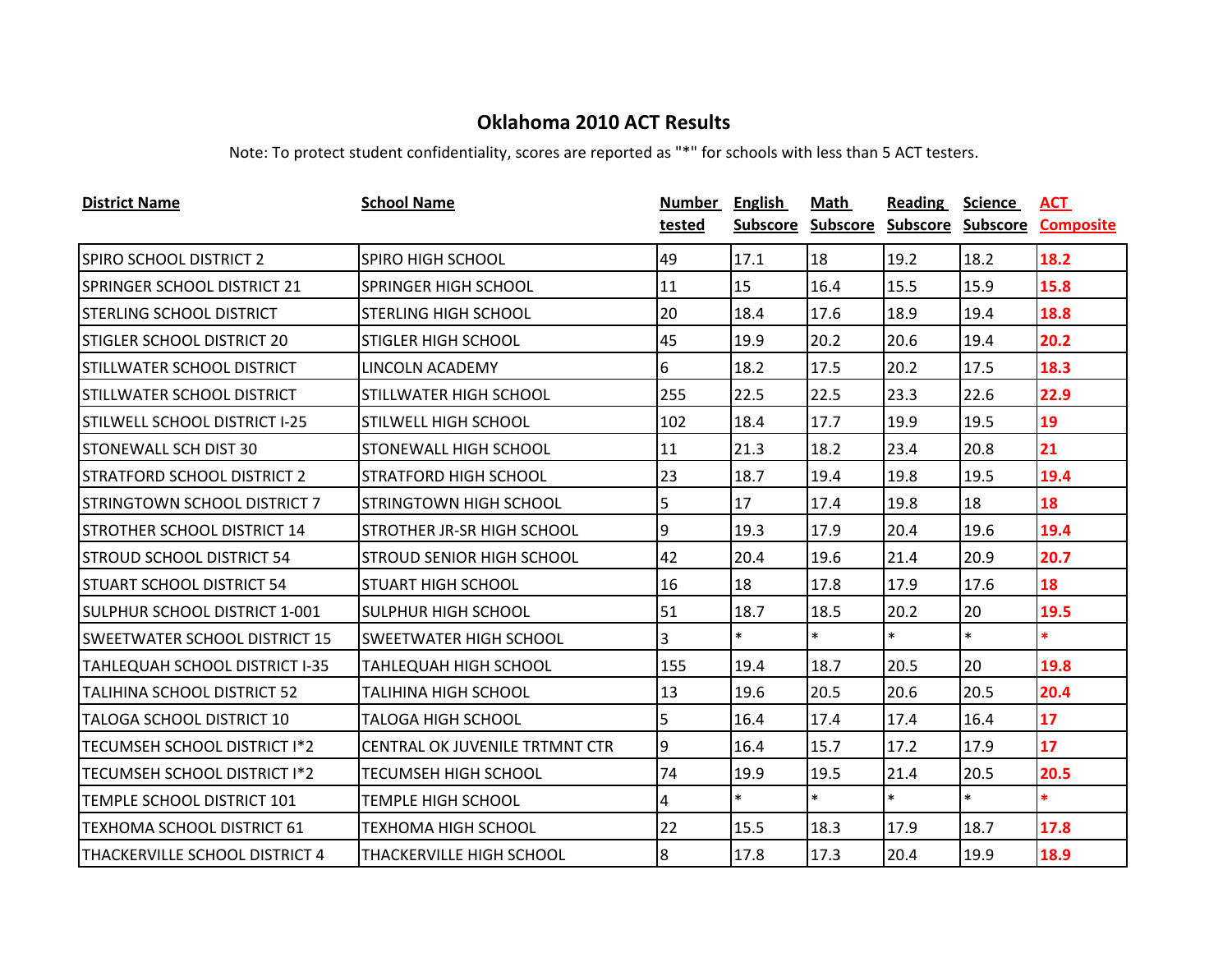| <b>District Name</b>                  | <b>School Name</b>                | Number         | <b>English</b> | Math              | <b>Reading</b>    | <b>Science</b> | <b>ACT</b>       |
|---------------------------------------|-----------------------------------|----------------|----------------|-------------------|-------------------|----------------|------------------|
|                                       |                                   | tested         |                | Subscore Subscore | Subscore Subscore |                | <b>Composite</b> |
| <b>SPIRO SCHOOL DISTRICT 2</b>        | <b>SPIRO HIGH SCHOOL</b>          | 49             | 17.1           | 18                | 19.2              | 18.2           | 18.2             |
| <b>SPRINGER SCHOOL DISTRICT 21</b>    | <b>SPRINGER HIGH SCHOOL</b>       | 11             | 15             | 16.4              | 15.5              | 15.9           | 15.8             |
| <b>STERLING SCHOOL DISTRICT</b>       | <b>STERLING HIGH SCHOOL</b>       | 20             | 18.4           | 17.6              | 18.9              | 19.4           | 18.8             |
| <b>STIGLER SCHOOL DISTRICT 20</b>     | <b>STIGLER HIGH SCHOOL</b>        | 45             | 19.9           | 20.2              | 20.6              | 19.4           | 20.2             |
| <b>STILLWATER SCHOOL DISTRICT</b>     | LINCOLN ACADEMY                   | 6              | 18.2           | 17.5              | 20.2              | 17.5           | 18.3             |
| STILLWATER SCHOOL DISTRICT            | <b>STILLWATER HIGH SCHOOL</b>     | 255            | 22.5           | 22.5              | 23.3              | 22.6           | 22.9             |
| <b>STILWELL SCHOOL DISTRICT I-25</b>  | <b>STILWELL HIGH SCHOOL</b>       | 102            | 18.4           | 17.7              | 19.9              | 19.5           | 19               |
| <b>STONEWALL SCH DIST 30</b>          | <b>STONEWALL HIGH SCHOOL</b>      | 11             | 21.3           | 18.2              | 23.4              | 20.8           | 21               |
| <b>STRATFORD SCHOOL DISTRICT 2</b>    | <b>STRATFORD HIGH SCHOOL</b>      | 23             | 18.7           | 19.4              | 19.8              | 19.5           | 19.4             |
| <b>STRINGTOWN SCHOOL DISTRICT 7</b>   | <b>STRINGTOWN HIGH SCHOOL</b>     | 5              | 17             | 17.4              | 19.8              | 18             | 18               |
| <b>STROTHER SCHOOL DISTRICT 14</b>    | <b>STROTHER JR-SR HIGH SCHOOL</b> | 9              | 19.3           | 17.9              | 20.4              | 19.6           | 19.4             |
| <b>STROUD SCHOOL DISTRICT 54</b>      | <b>STROUD SENIOR HIGH SCHOOL</b>  | 42             | 20.4           | 19.6              | 21.4              | 20.9           | 20.7             |
| <b>STUART SCHOOL DISTRICT 54</b>      | <b>STUART HIGH SCHOOL</b>         | 16             | 18             | 17.8              | 17.9              | 17.6           | 18               |
| SULPHUR SCHOOL DISTRICT 1-001         | <b>SULPHUR HIGH SCHOOL</b>        | 51             | 18.7           | 18.5              | 20.2              | 20             | 19.5             |
| <b>SWEETWATER SCHOOL DISTRICT 15</b>  | <b>SWEETWATER HIGH SCHOOL</b>     | 3              | $\ast$         | $\ast$            | $\ast$            | $\ast$         | $\ast$           |
| <b>TAHLEQUAH SCHOOL DISTRICT I-35</b> | <b>TAHLEQUAH HIGH SCHOOL</b>      | 155            | 19.4           | 18.7              | 20.5              | 20             | 19.8             |
| TALIHINA SCHOOL DISTRICT 52           | <b>TALIHINA HIGH SCHOOL</b>       | 13             | 19.6           | 20.5              | 20.6              | 20.5           | 20.4             |
| TALOGA SCHOOL DISTRICT 10             | <b>TALOGA HIGH SCHOOL</b>         | $\overline{5}$ | 16.4           | 17.4              | 17.4              | 16.4           | 17               |
| TECUMSEH SCHOOL DISTRICT I*2          | CENTRAL OK JUVENILE TRTMNT CTR    | 9              | 16.4           | 15.7              | 17.2              | 17.9           | 17               |
| <b>TECUMSEH SCHOOL DISTRICT I*2</b>   | <b>TECUMSEH HIGH SCHOOL</b>       | 74             | 19.9           | 19.5              | 21.4              | 20.5           | 20.5             |
| TEMPLE SCHOOL DISTRICT 101            | <b>TEMPLE HIGH SCHOOL</b>         | 4              | $\ast$         | $\ast$            | $\ast$            | $\ast$         | $\ast$           |
| <b>TEXHOMA SCHOOL DISTRICT 61</b>     | <b>TEXHOMA HIGH SCHOOL</b>        | 22             | 15.5           | 18.3              | 17.9              | 18.7           | 17.8             |
| ITHACKERVILLE SCHOOL DISTRICT 4       | <b>THACKERVILLE HIGH SCHOOL</b>   | $\overline{8}$ | 17.8           | 17.3              | 20.4              | 19.9           | 18.9             |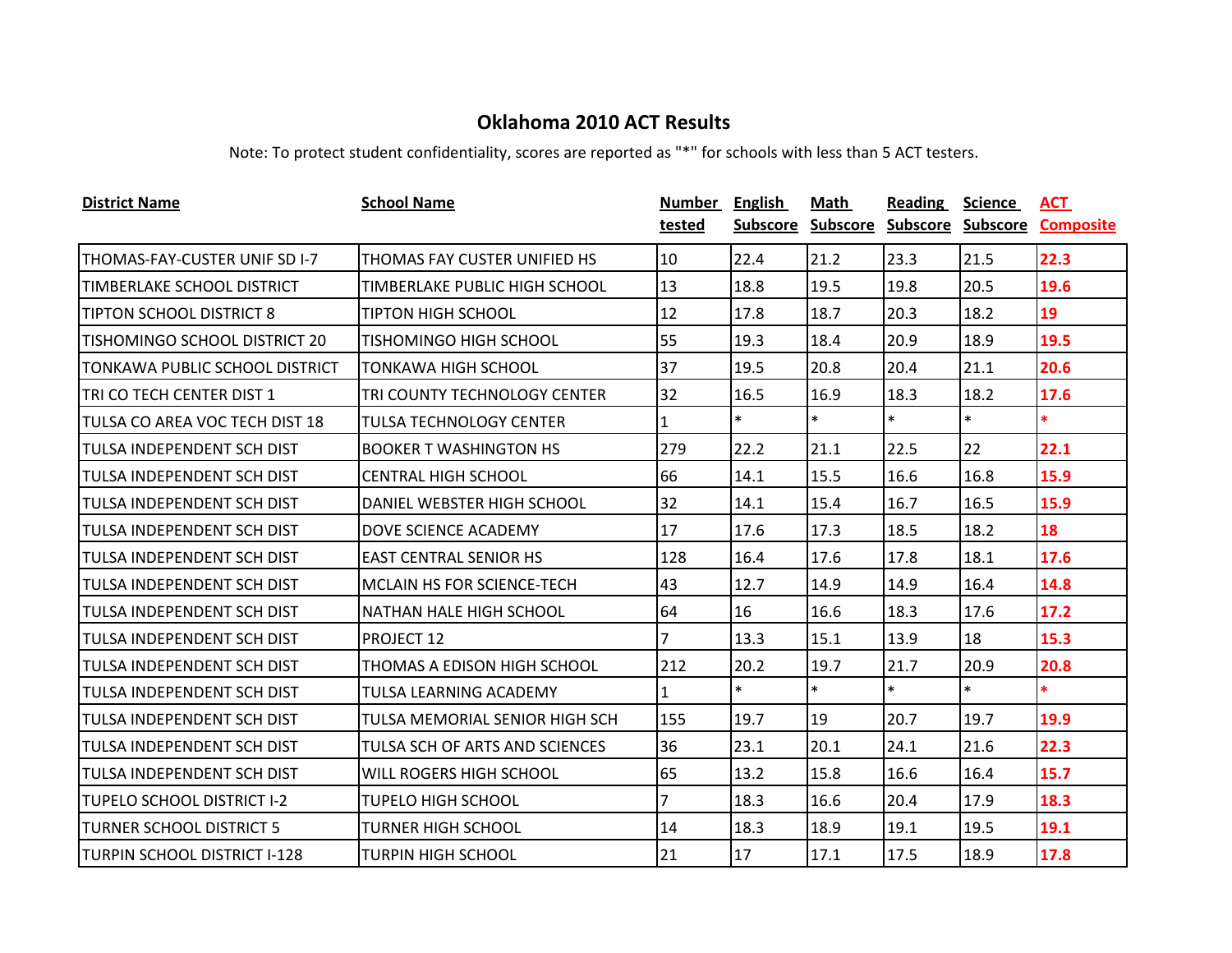| <b>District Name</b>              | <b>School Name</b>                    | Number<br>tested | <b>English</b><br><b>Subscore</b> | Math<br><b>Subscore</b> | Reading<br>Subscore | <b>Science</b><br><b>Subscore</b> | ACT<br><b>Composite</b> |
|-----------------------------------|---------------------------------------|------------------|-----------------------------------|-------------------------|---------------------|-----------------------------------|-------------------------|
|                                   |                                       |                  |                                   |                         |                     |                                   |                         |
| THOMAS-FAY-CUSTER UNIF SD I-7     | THOMAS FAY CUSTER UNIFIED HS          | 10               | 22.4                              | 21.2                    | 23.3                | 21.5                              | 22.3                    |
| <b>TIMBERLAKE SCHOOL DISTRICT</b> | TIMBERLAKE PUBLIC HIGH SCHOOL         | 13               | 18.8                              | 19.5                    | 19.8                | 20.5                              | 19.6                    |
| <b>TIPTON SCHOOL DISTRICT 8</b>   | <b>TIPTON HIGH SCHOOL</b>             | 12               | 17.8                              | 18.7                    | 20.3                | 18.2                              | 19                      |
| TISHOMINGO SCHOOL DISTRICT 20     | TISHOMINGO HIGH SCHOOL                | 55               | 19.3                              | 18.4                    | 20.9                | 18.9                              | 19.5                    |
| TONKAWA PUBLIC SCHOOL DISTRICT    | <b>TONKAWA HIGH SCHOOL</b>            | 37               | 19.5                              | 20.8                    | 20.4                | 21.1                              | 20.6                    |
| TRI CO TECH CENTER DIST 1         | TRI COUNTY TECHNOLOGY CENTER          | 32               | 16.5                              | 16.9                    | 18.3                | 18.2                              | 17.6                    |
| TULSA CO AREA VOC TECH DIST 18    | <b>TULSA TECHNOLOGY CENTER</b>        | 1                | $\ast$                            | $\ast$                  | $\ast$              | $\ast$                            | $\ast$                  |
| <b>TULSA INDEPENDENT SCH DIST</b> | <b>BOOKER T WASHINGTON HS</b>         | 279              | 22.2                              | 21.1                    | 22.5                | 22                                | 22.1                    |
| <b>TULSA INDEPENDENT SCH DIST</b> | <b>CENTRAL HIGH SCHOOL</b>            | 66               | 14.1                              | 15.5                    | 16.6                | 16.8                              | 15.9                    |
| ITULSA INDEPENDENT SCH DIST       | DANIEL WEBSTER HIGH SCHOOL            | 32               | 14.1                              | 15.4                    | 16.7                | 16.5                              | 15.9                    |
| <b>TULSA INDEPENDENT SCH DIST</b> | DOVE SCIENCE ACADEMY                  | 17               | 17.6                              | 17.3                    | 18.5                | 18.2                              | 18                      |
| <b>TULSA INDEPENDENT SCH DIST</b> | <b>EAST CENTRAL SENIOR HS</b>         | 128              | 16.4                              | 17.6                    | 17.8                | 18.1                              | 17.6                    |
| ITULSA INDEPENDENT SCH DIST       | MCLAIN HS FOR SCIENCE-TECH            | 43               | 12.7                              | 14.9                    | 14.9                | 16.4                              | 14.8                    |
| ITULSA INDEPENDENT SCH DIST       | NATHAN HALE HIGH SCHOOL               | 64               | 16                                | 16.6                    | 18.3                | 17.6                              | 17.2                    |
| <b>TULSA INDEPENDENT SCH DIST</b> | <b>PROJECT 12</b>                     | $\overline{7}$   | 13.3                              | 15.1                    | 13.9                | 18                                | 15.3                    |
| ITULSA INDEPENDENT SCH DIST       | THOMAS A EDISON HIGH SCHOOL           | 212              | 20.2                              | 19.7                    | 21.7                | 20.9                              | 20.8                    |
| ITULSA INDEPENDENT SCH DIST       | <b>TULSA LEARNING ACADEMY</b>         | 1.               | $\ast$                            | $\ast$                  | $\ast$              | $\ast$                            | $\ast$                  |
| <b>TULSA INDEPENDENT SCH DIST</b> | <b>TULSA MEMORIAL SENIOR HIGH SCH</b> | 155              | 19.7                              | 19                      | 20.7                | 19.7                              | 19.9                    |
| ITULSA INDEPENDENT SCH DIST       | TULSA SCH OF ARTS AND SCIENCES        | 36               | 23.1                              | 20.1                    | 24.1                | 21.6                              | 22.3                    |
| ITULSA INDEPENDENT SCH DIST       | WILL ROGERS HIGH SCHOOL               | 65               | 13.2                              | 15.8                    | 16.6                | 16.4                              | 15.7                    |
| <b>TUPELO SCHOOL DISTRICT I-2</b> | <b>TUPELO HIGH SCHOOL</b>             | 7                | 18.3                              | 16.6                    | 20.4                | 17.9                              | 18.3                    |
| <b>ITURNER SCHOOL DISTRICT 5</b>  | <b>TURNER HIGH SCHOOL</b>             | 14               | 18.3                              | 18.9                    | 19.1                | 19.5                              | 19.1                    |
| TURPIN SCHOOL DISTRICT I-128      | <b>TURPIN HIGH SCHOOL</b>             | 21               | 17                                | 17.1                    | 17.5                | 18.9                              | 17.8                    |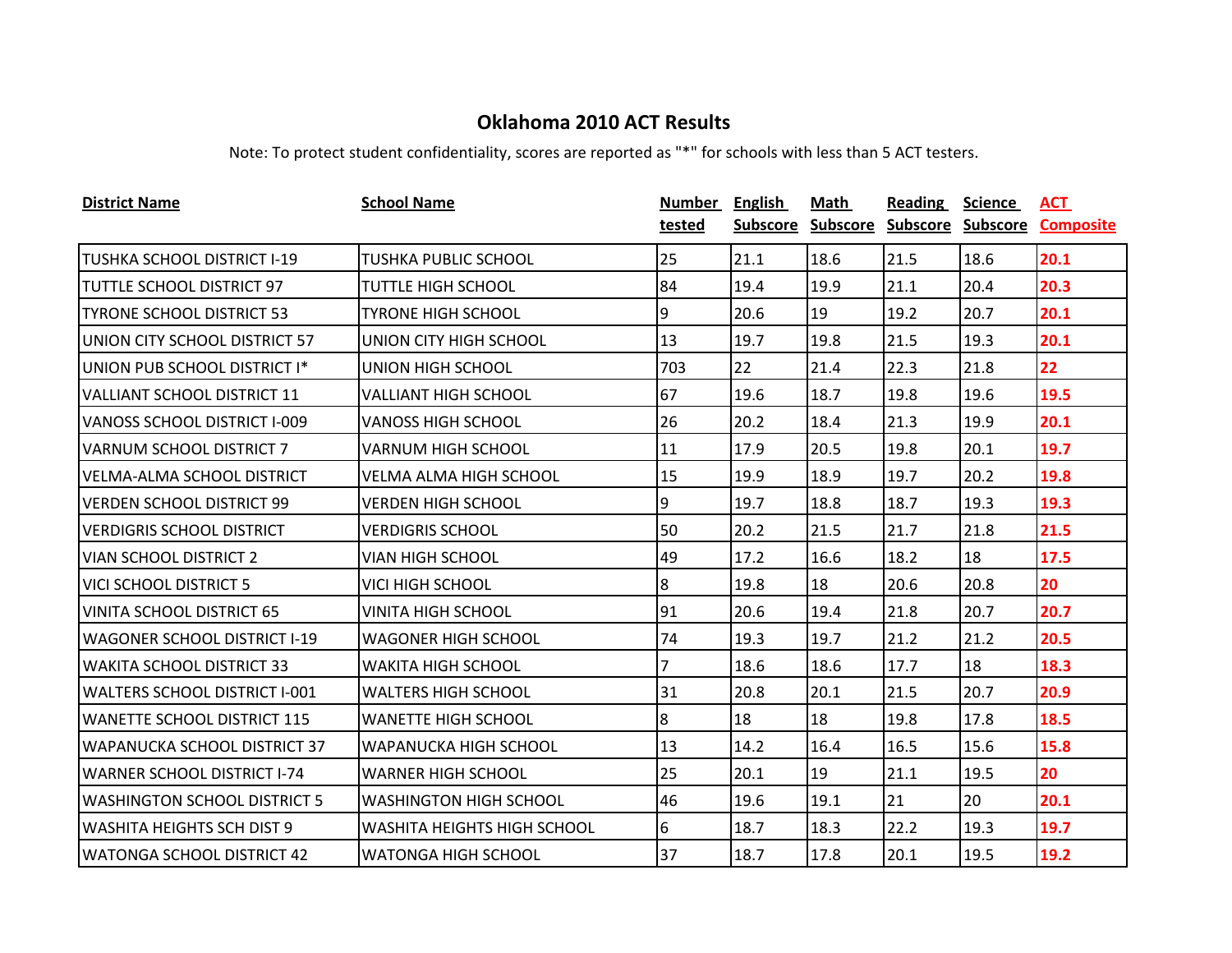| <b>District Name</b>                 | <b>School Name</b>                 | Number         | <b>English</b>  | Math            | Reading           | <b>Science</b> | ACT              |
|--------------------------------------|------------------------------------|----------------|-----------------|-----------------|-------------------|----------------|------------------|
|                                      |                                    | tested         | <b>Subscore</b> | <b>Subscore</b> | Subscore Subscore |                | <b>Composite</b> |
| TUSHKA SCHOOL DISTRICT I-19          | <b>TUSHKA PUBLIC SCHOOL</b>        | 25             | 21.1            | 18.6            | 21.5              | 18.6           | 20.1             |
| TUTTLE SCHOOL DISTRICT 97            | <b>TUTTLE HIGH SCHOOL</b>          | 84             | 19.4            | 19.9            | 21.1              | 20.4           | 20.3             |
| <b>TYRONE SCHOOL DISTRICT 53</b>     | <b>TYRONE HIGH SCHOOL</b>          | 9              | 20.6            | 19              | 19.2              | 20.7           | 20.1             |
| UNION CITY SCHOOL DISTRICT 57        | UNION CITY HIGH SCHOOL             | 13             | 19.7            | 19.8            | 21.5              | 19.3           | 20.1             |
| UNION PUB SCHOOL DISTRICT I*         | UNION HIGH SCHOOL                  | 703            | 22              | 21.4            | 22.3              | 21.8           | 22               |
| VALLIANT SCHOOL DISTRICT 11          | <b>VALLIANT HIGH SCHOOL</b>        | 67             | 19.6            | 18.7            | 19.8              | 19.6           | 19.5             |
| <b>VANOSS SCHOOL DISTRICT I-009</b>  | <b>VANOSS HIGH SCHOOL</b>          | 26             | 20.2            | 18.4            | 21.3              | 19.9           | 20.1             |
| <b>VARNUM SCHOOL DISTRICT 7</b>      | <b>VARNUM HIGH SCHOOL</b>          | 11             | 17.9            | 20.5            | 19.8              | 20.1           | 19.7             |
| VELMA-ALMA SCHOOL DISTRICT           | <b>VELMA ALMA HIGH SCHOOL</b>      | 15             | 19.9            | 18.9            | 19.7              | 20.2           | 19.8             |
| <b>VERDEN SCHOOL DISTRICT 99</b>     | <b>VERDEN HIGH SCHOOL</b>          | 9              | 19.7            | 18.8            | 18.7              | 19.3           | 19.3             |
| <b>VERDIGRIS SCHOOL DISTRICT</b>     | <b>VERDIGRIS SCHOOL</b>            | 50             | 20.2            | 21.5            | 21.7              | 21.8           | 21.5             |
| <b>VIAN SCHOOL DISTRICT 2</b>        | VIAN HIGH SCHOOL                   | 49             | 17.2            | 16.6            | 18.2              | 18             | 17.5             |
| <b>VICI SCHOOL DISTRICT 5</b>        | <b>VICI HIGH SCHOOL</b>            | 8              | 19.8            | 18              | 20.6              | 20.8           | 20               |
| VINITA SCHOOL DISTRICT 65            | VINITA HIGH SCHOOL                 | 91             | 20.6            | 19.4            | 21.8              | 20.7           | 20.7             |
| <b>WAGONER SCHOOL DISTRICT I-19</b>  | WAGONER HIGH SCHOOL                | 74             | 19.3            | 19.7            | 21.2              | 21.2           | 20.5             |
| <b>WAKITA SCHOOL DISTRICT 33</b>     | <b>WAKITA HIGH SCHOOL</b>          | $\overline{7}$ | 18.6            | 18.6            | 17.7              | 18             | 18.3             |
| <b>WALTERS SCHOOL DISTRICT I-001</b> | <b>WALTERS HIGH SCHOOL</b>         | 31             | 20.8            | 20.1            | 21.5              | 20.7           | 20.9             |
| <b>WANETTE SCHOOL DISTRICT 115</b>   | <b>WANETTE HIGH SCHOOL</b>         | $8\,$          | 18              | 18              | 19.8              | 17.8           | 18.5             |
| WAPANUCKA SCHOOL DISTRICT 37         | WAPANUCKA HIGH SCHOOL              | 13             | 14.2            | 16.4            | 16.5              | 15.6           | 15.8             |
| <b>WARNER SCHOOL DISTRICT I-74</b>   | <b>WARNER HIGH SCHOOL</b>          | 25             | 20.1            | 19              | 21.1              | 19.5           | 20               |
| <b>WASHINGTON SCHOOL DISTRICT 5</b>  | <b>WASHINGTON HIGH SCHOOL</b>      | 46             | 19.6            | 19.1            | 21                | 20             | 20.1             |
| <b>WASHITA HEIGHTS SCH DIST 9</b>    | <b>WASHITA HEIGHTS HIGH SCHOOL</b> | 6              | 18.7            | 18.3            | 22.2              | 19.3           | 19.7             |
| <b>WATONGA SCHOOL DISTRICT 42</b>    | <b>WATONGA HIGH SCHOOL</b>         | 37             | 18.7            | 17.8            | 20.1              | 19.5           | 19.2             |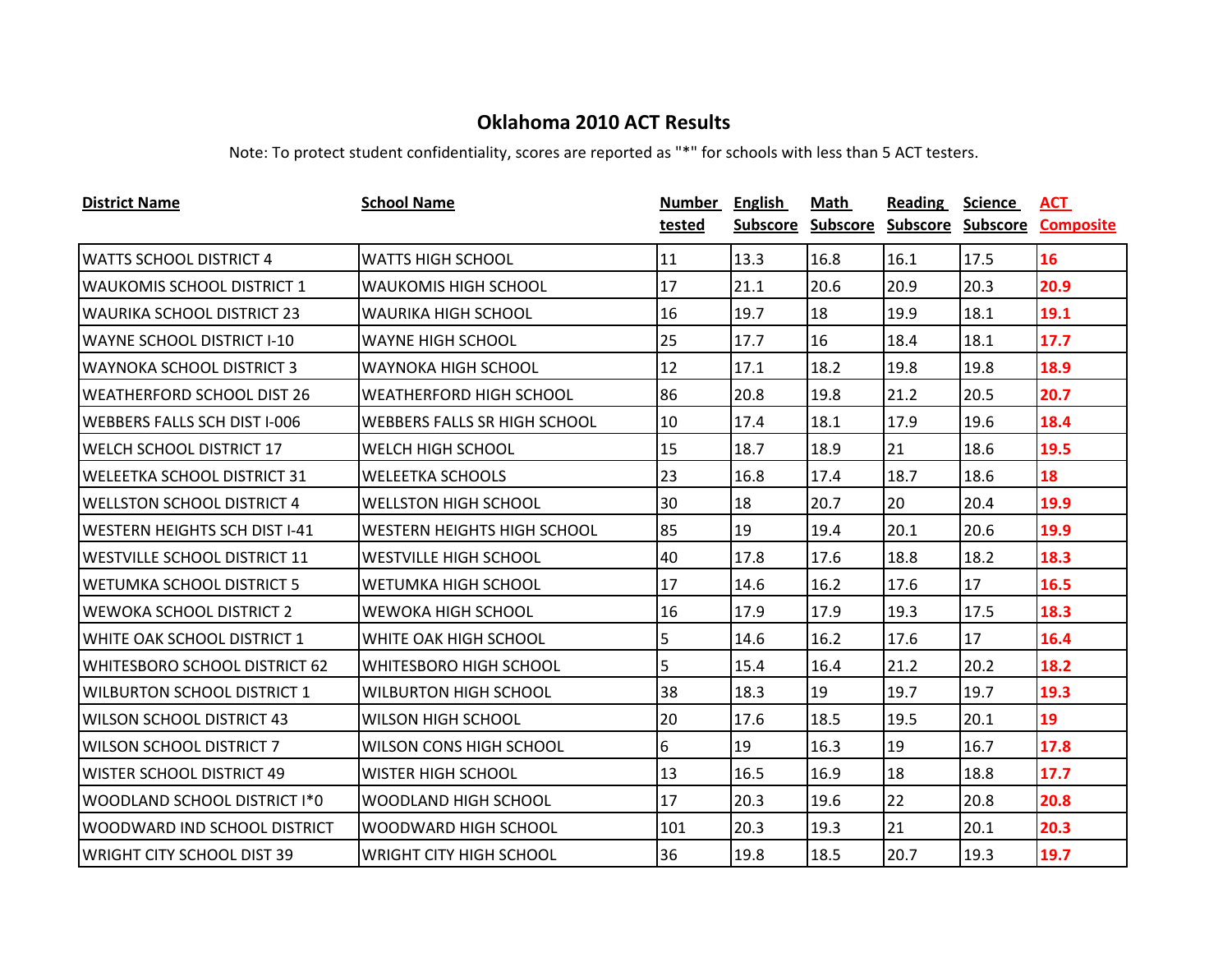| <b>District Name</b>                 | <b>School Name</b>                  | <b>Number</b> | <b>English</b> | <b>Math</b>       | <b>Reading</b>    | <b>Science</b> | <b>ACT</b>       |
|--------------------------------------|-------------------------------------|---------------|----------------|-------------------|-------------------|----------------|------------------|
|                                      |                                     | tested        |                | Subscore Subscore | Subscore Subscore |                | <b>Composite</b> |
| <b>WATTS SCHOOL DISTRICT 4</b>       | <b>WATTS HIGH SCHOOL</b>            | 11            | 13.3           | 16.8              | 16.1              | 17.5           | 16               |
| <b>WAUKOMIS SCHOOL DISTRICT 1</b>    | <b>WAUKOMIS HIGH SCHOOL</b>         | 17            | 21.1           | 20.6              | 20.9              | 20.3           | 20.9             |
| <b>WAURIKA SCHOOL DISTRICT 23</b>    | <b>WAURIKA HIGH SCHOOL</b>          | 16            | 19.7           | 18                | 19.9              | 18.1           | 19.1             |
| <b>WAYNE SCHOOL DISTRICT I-10</b>    | <b>WAYNE HIGH SCHOOL</b>            | 25            | 17.7           | 16                | 18.4              | 18.1           | 17.7             |
| <b>WAYNOKA SCHOOL DISTRICT 3</b>     | <b>WAYNOKA HIGH SCHOOL</b>          | 12            | 17.1           | 18.2              | 19.8              | 19.8           | 18.9             |
| <b>WEATHERFORD SCHOOL DIST 26</b>    | <b>WEATHERFORD HIGH SCHOOL</b>      | 86            | 20.8           | 19.8              | 21.2              | 20.5           | 20.7             |
| <b>WEBBERS FALLS SCH DIST I-006</b>  | <b>WEBBERS FALLS SR HIGH SCHOOL</b> | 10            | 17.4           | 18.1              | 17.9              | 19.6           | 18.4             |
| <b>WELCH SCHOOL DISTRICT 17</b>      | <b>WELCH HIGH SCHOOL</b>            | 15            | 18.7           | 18.9              | 21                | 18.6           | 19.5             |
| <b>WELEETKA SCHOOL DISTRICT 31</b>   | <b>WELEETKA SCHOOLS</b>             | 23            | 16.8           | 17.4              | 18.7              | 18.6           | 18               |
| <b>WELLSTON SCHOOL DISTRICT 4</b>    | <b>WELLSTON HIGH SCHOOL</b>         | 30            | 18             | 20.7              | 20                | 20.4           | 19.9             |
| <b>WESTERN HEIGHTS SCH DIST I-41</b> | <b>WESTERN HEIGHTS HIGH SCHOOL</b>  | 85            | 19             | 19.4              | 20.1              | 20.6           | 19.9             |
| <b>WESTVILLE SCHOOL DISTRICT 11</b>  | <b>WESTVILLE HIGH SCHOOL</b>        | 40            | 17.8           | 17.6              | 18.8              | 18.2           | 18.3             |
| WETUMKA SCHOOL DISTRICT 5            | <b>WETUMKA HIGH SCHOOL</b>          | 17            | 14.6           | 16.2              | 17.6              | 17             | 16.5             |
| <b>WEWOKA SCHOOL DISTRICT 2</b>      | <b>WEWOKA HIGH SCHOOL</b>           | 16            | 17.9           | 17.9              | 19.3              | 17.5           | 18.3             |
| WHITE OAK SCHOOL DISTRICT 1          | WHITE OAK HIGH SCHOOL               | 5             | 14.6           | 16.2              | 17.6              | 17             | 16.4             |
| WHITESBORO SCHOOL DISTRICT 62        | <b>WHITESBORO HIGH SCHOOL</b>       | 5             | 15.4           | 16.4              | 21.2              | 20.2           | 18.2             |
| <b>WILBURTON SCHOOL DISTRICT 1</b>   | <b>WILBURTON HIGH SCHOOL</b>        | 38            | 18.3           | 19                | 19.7              | 19.7           | 19.3             |
| WILSON SCHOOL DISTRICT 43            | WILSON HIGH SCHOOL                  | 20            | 17.6           | 18.5              | 19.5              | 20.1           | 19               |
| <b>WILSON SCHOOL DISTRICT 7</b>      | <b>WILSON CONS HIGH SCHOOL</b>      | 6             | 19             | 16.3              | 19                | 16.7           | 17.8             |
| <b>WISTER SCHOOL DISTRICT 49</b>     | <b>WISTER HIGH SCHOOL</b>           | 13            | 16.5           | 16.9              | 18                | 18.8           | 17.7             |
| WOODLAND SCHOOL DISTRICT I*0         | WOODLAND HIGH SCHOOL                | 17            | 20.3           | 19.6              | 22                | 20.8           | 20.8             |
| WOODWARD IND SCHOOL DISTRICT         | WOODWARD HIGH SCHOOL                | 101           | 20.3           | 19.3              | 21                | 20.1           | 20.3             |
| IWRIGHT CITY SCHOOL DIST 39          | <b>WRIGHT CITY HIGH SCHOOL</b>      | 36            | 19.8           | 18.5              | 20.7              | 19.3           | 19.7             |